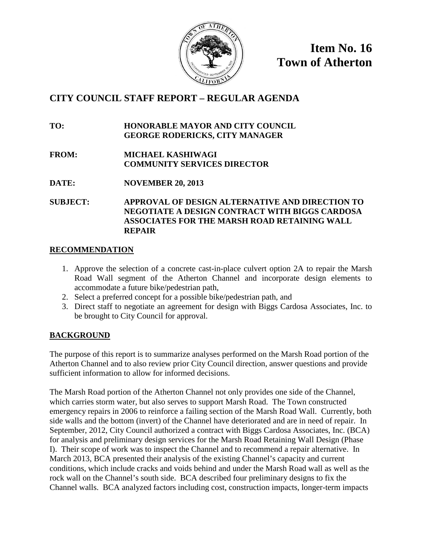

**Item No. 16 Town of Atherton**

### **CITY COUNCIL STAFF REPORT – REGULAR AGENDA**

**TO: HONORABLE MAYOR AND CITY COUNCIL GEORGE RODERICKS, CITY MANAGER**

**FROM: MICHAEL KASHIWAGI COMMUNITY SERVICES DIRECTOR**

**DATE: NOVEMBER 20, 2013**

**SUBJECT: APPROVAL OF DESIGN ALTERNATIVE AND DIRECTION TO NEGOTIATE A DESIGN CONTRACT WITH BIGGS CARDOSA ASSOCIATES FOR THE MARSH ROAD RETAINING WALL REPAIR**

#### **RECOMMENDATION**

- 1. Approve the selection of a concrete cast-in-place culvert option 2A to repair the Marsh Road Wall segment of the Atherton Channel and incorporate design elements to accommodate a future bike/pedestrian path,
- 2. Select a preferred concept for a possible bike/pedestrian path, and
- 3. Direct staff to negotiate an agreement for design with Biggs Cardosa Associates, Inc. to be brought to City Council for approval.

#### **BACKGROUND**

The purpose of this report is to summarize analyses performed on the Marsh Road portion of the Atherton Channel and to also review prior City Council direction, answer questions and provide sufficient information to allow for informed decisions.

The Marsh Road portion of the Atherton Channel not only provides one side of the Channel, which carries storm water, but also serves to support Marsh Road. The Town constructed emergency repairs in 2006 to reinforce a failing section of the Marsh Road Wall. Currently, both side walls and the bottom (invert) of the Channel have deteriorated and are in need of repair. In September, 2012, City Council authorized a contract with Biggs Cardosa Associates, Inc. (BCA) for analysis and preliminary design services for the Marsh Road Retaining Wall Design (Phase I). Their scope of work was to inspect the Channel and to recommend a repair alternative. In March 2013, BCA presented their analysis of the existing Channel's capacity and current conditions, which include cracks and voids behind and under the Marsh Road wall as well as the rock wall on the Channel's south side. BCA described four preliminary designs to fix the Channel walls. BCA analyzed factors including cost, construction impacts, longer-term impacts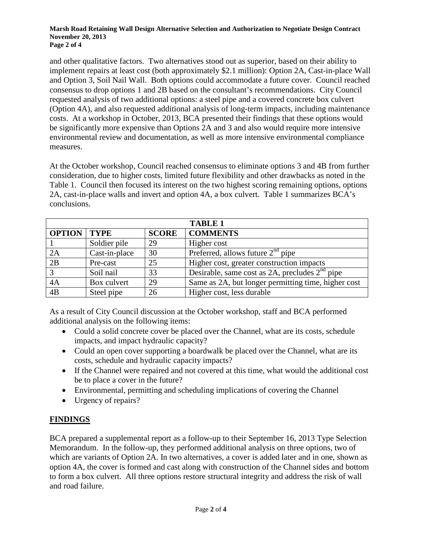#### **Marsh Road Retaining Wall Design Alternative Selection and Authorization to Negotiate Design Contract November 20, 2013 Page 2 of 4**

and other qualitative factors. Two alternatives stood out as superior, based on their ability to implement repairs at least cost (both approximately \$2.1 million): Option 2A, Cast-in-place Wall and Option 3, Soil Nail Wall. Both options could accommodate a future cover. Council reached consensus to drop options 1 and 2B based on the consultant's recommendations. City Council requested analysis of two additional options: a steel pipe and a covered concrete box culvert (Option 4A), and also requested additional analysis of long-term impacts, including maintenance costs. At a workshop in October, 2013, BCA presented their findings that these options would be significantly more expensive than Options 2A and 3 and also would require more intensive environmental review and documentation, as well as more intensive environmental compliance measures.

At the October workshop, Council reached consensus to eliminate options 3 and 4B from further consideration, due to higher costs, limited future flexibility and other drawbacks as noted in the Table 1. Council then focused its interest on the two highest scoring remaining options, options 2A, cast-in-place walls and invert and option 4A, a box culvert. Table 1 summarizes BCA's conclusions.

|                 | <b>TABLE 1</b> |              |                                                     |  |  |  |  |
|-----------------|----------------|--------------|-----------------------------------------------------|--|--|--|--|
| <b>OPTION</b>   | <b>TYPE</b>    | <b>SCORE</b> | <b>COMMENTS</b>                                     |  |  |  |  |
|                 | Soldier pile   | 29           | Higher cost                                         |  |  |  |  |
| 2A              | Cast-in-place  | 30           | Preferred, allows future $2nd$ pipe                 |  |  |  |  |
| 2B              | Pre-cast       | 25           | Higher cost, greater construction impacts           |  |  |  |  |
| $\overline{3}$  | Soil nail      | 33           | Desirable, same cost as $2A$ , precludes $2nd$ pipe |  |  |  |  |
| 4A              | Box culvert    | 29           | Same as 2A, but longer permitting time, higher cost |  |  |  |  |
| $\overline{AB}$ | Steel pipe     | 26           | Higher cost, less durable                           |  |  |  |  |

As a result of City Council discussion at the October workshop, staff and BCA performed additional analysis on the following items:

- Could a solid concrete cover be placed over the Channel, what are its costs, schedule impacts, and impact hydraulic capacity?
- Could an open cover supporting a boardwalk be placed over the Channel, what are its costs, schedule and hydraulic capacity impacts?
- If the Channel were repaired and not covered at this time, what would the additional cost be to place a cover in the future?
- Environmental, permitting and scheduling implications of covering the Channel
- Urgency of repairs?

#### **FINDINGS**

BCA prepared a supplemental report as a follow-up to their September 16, 2013 Type Selection Memorandum. In the follow-up, they performed additional analysis on three options, two of which are variants of Option 2A. In two alternatives, a cover is added later and in one, shown as option 4A, the cover is formed and cast along with construction of the Channel sides and bottom to form a box culvert. All three options restore structural integrity and address the risk of wall and road failure.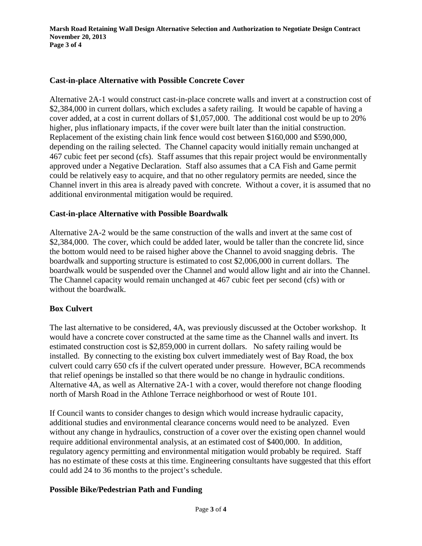#### **Cast-in-place Alternative with Possible Concrete Cover**

Alternative 2A-1 would construct cast-in-place concrete walls and invert at a construction cost of \$2,384,000 in current dollars, which excludes a safety railing. It would be capable of having a cover added, at a cost in current dollars of \$1,057,000. The additional cost would be up to 20% higher, plus inflationary impacts, if the cover were built later than the initial construction. Replacement of the existing chain link fence would cost between \$160,000 and \$590,000, depending on the railing selected. The Channel capacity would initially remain unchanged at 467 cubic feet per second (cfs). Staff assumes that this repair project would be environmentally approved under a Negative Declaration. Staff also assumes that a CA Fish and Game permit could be relatively easy to acquire, and that no other regulatory permits are needed, since the Channel invert in this area is already paved with concrete. Without a cover, it is assumed that no additional environmental mitigation would be required.

#### **Cast-in-place Alternative with Possible Boardwalk**

Alternative 2A-2 would be the same construction of the walls and invert at the same cost of \$2,384,000. The cover, which could be added later, would be taller than the concrete lid, since the bottom would need to be raised higher above the Channel to avoid snagging debris. The boardwalk and supporting structure is estimated to cost \$2,006,000 in current dollars. The boardwalk would be suspended over the Channel and would allow light and air into the Channel. The Channel capacity would remain unchanged at 467 cubic feet per second (cfs) with or without the boardwalk.

#### **Box Culvert**

The last alternative to be considered, 4A, was previously discussed at the October workshop. It would have a concrete cover constructed at the same time as the Channel walls and invert. Its estimated construction cost is \$2,859,000 in current dollars. No safety railing would be installed. By connecting to the existing box culvert immediately west of Bay Road, the box culvert could carry 650 cfs if the culvert operated under pressure. However, BCA recommends that relief openings be installed so that there would be no change in hydraulic conditions. Alternative 4A, as well as Alternative 2A-1 with a cover, would therefore not change flooding north of Marsh Road in the Athlone Terrace neighborhood or west of Route 101.

If Council wants to consider changes to design which would increase hydraulic capacity, additional studies and environmental clearance concerns would need to be analyzed. Even without any change in hydraulics, construction of a cover over the existing open channel would require additional environmental analysis, at an estimated cost of \$400,000. In addition, regulatory agency permitting and environmental mitigation would probably be required. Staff has no estimate of these costs at this time. Engineering consultants have suggested that this effort could add 24 to 36 months to the project's schedule.

#### **Possible Bike/Pedestrian Path and Funding**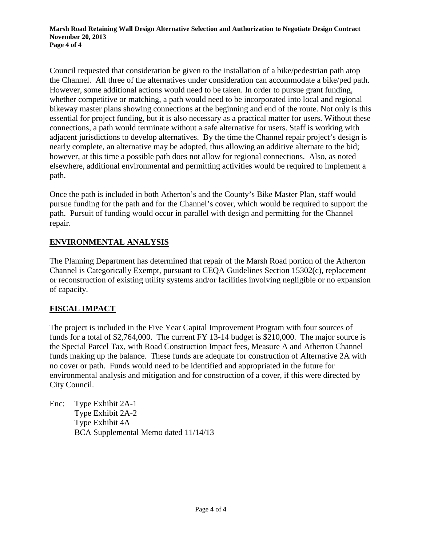Council requested that consideration be given to the installation of a bike/pedestrian path atop the Channel. All three of the alternatives under consideration can accommodate a bike/ped path. However, some additional actions would need to be taken. In order to pursue grant funding, whether competitive or matching, a path would need to be incorporated into local and regional bikeway master plans showing connections at the beginning and end of the route. Not only is this essential for project funding, but it is also necessary as a practical matter for users. Without these connections, a path would terminate without a safe alternative for users. Staff is working with adjacent jurisdictions to develop alternatives. By the time the Channel repair project's design is nearly complete, an alternative may be adopted, thus allowing an additive alternate to the bid; however, at this time a possible path does not allow for regional connections. Also, as noted elsewhere, additional environmental and permitting activities would be required to implement a path.

Once the path is included in both Atherton's and the County's Bike Master Plan, staff would pursue funding for the path and for the Channel's cover, which would be required to support the path. Pursuit of funding would occur in parallel with design and permitting for the Channel repair.

#### **ENVIRONMENTAL ANALYSIS**

The Planning Department has determined that repair of the Marsh Road portion of the Atherton Channel is Categorically Exempt, pursuant to CEQA Guidelines Section 15302(c), replacement or reconstruction of existing utility systems and/or facilities involving negligible or no expansion of capacity.

#### **FISCAL IMPACT**

The project is included in the Five Year Capital Improvement Program with four sources of funds for a total of \$2,764,000. The current FY 13-14 budget is \$210,000. The major source is the Special Parcel Tax, with Road Construction Impact fees, Measure A and Atherton Channel funds making up the balance. These funds are adequate for construction of Alternative 2A with no cover or path. Funds would need to be identified and appropriated in the future for environmental analysis and mitigation and for construction of a cover, if this were directed by City Council.

Enc: Type Exhibit 2A-1 Type Exhibit 2A-2 Type Exhibit 4A BCA Supplemental Memo dated 11/14/13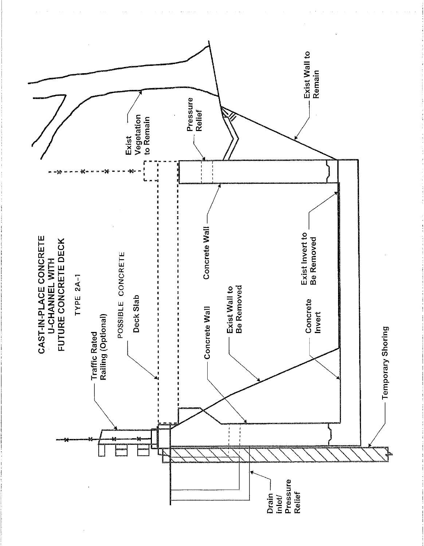

 $\frac{1}{3}$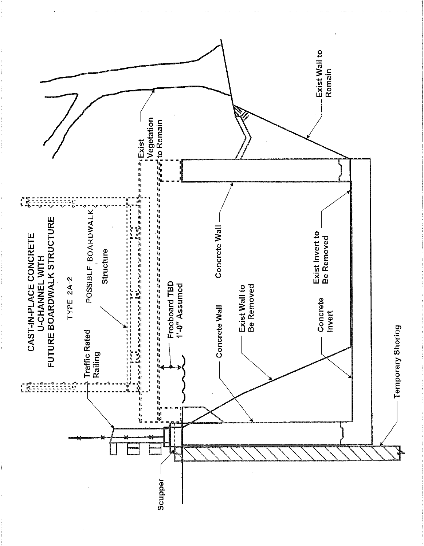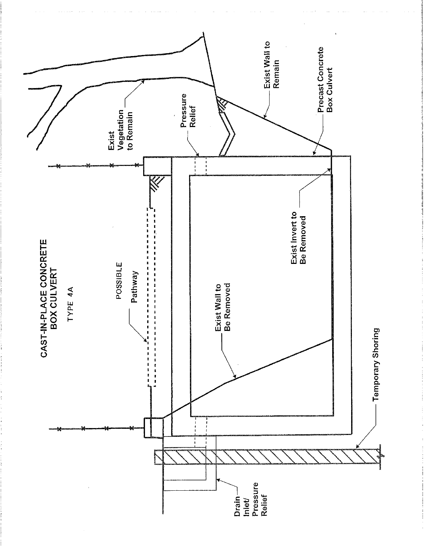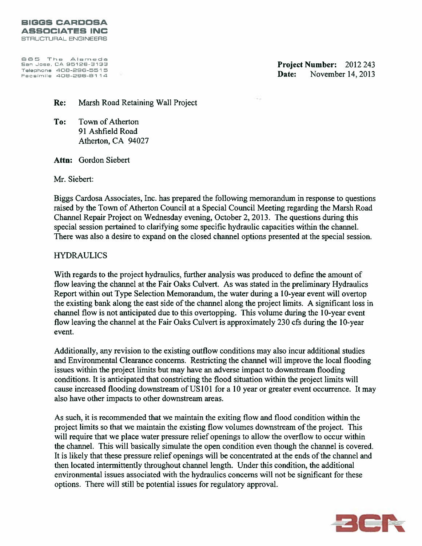865 The Alameda San Jose, CA 95126-3133 Telephone 408-296-5515<br>Facsimile 408-296-5114

Project Number: 2012 243 Date: November 14, 2013

Re: Marsh Road Retaining Wall Project

Town of Atherton To: 91 Ashfield Road Atherton, CA 94027

Attn: Gordon Siebert

Mr. Siebert:

Biggs Cardosa Associates, Inc. has prepared the following memorandum in response to questions raised by the Town of Atherton Council at a Special Council Meeting regarding the Marsh Road Channel Repair Project on Wednesday evening, October 2, 2013. The questions during this special session pertained to clarifying some specific hydraulic capacities within the channel. There was also a desire to expand on the closed channel options presented at the special session.

#### **HYDRAULICS**

With regards to the project hydraulics, further analysis was produced to define the amount of flow leaving the channel at the Fair Oaks Culvert. As was stated in the preliminary Hydraulics Report within out Type Selection Memorandum, the water during a 10-year event will overtop the existing bank along the east side of the channel along the project limits. A significant loss in channel flow is not anticipated due to this overtopping. This volume during the 10-year event flow leaving the channel at the Fair Oaks Culvert is approximately 230 cfs during the 10-year event.

Additionally, any revision to the existing outflow conditions may also incur additional studies and Environmental Clearance concerns. Restricting the channel will improve the local flooding issues within the project limits but may have an adverse impact to downstream flooding conditions. It is anticipated that constricting the flood situation within the project limits will cause increased flooding downstream of US101 for a 10 year or greater event occurrence. It may also have other impacts to other downstream areas.

As such, it is recommended that we maintain the exiting flow and flood condition within the project limits so that we maintain the existing flow volumes downstream of the project. This will require that we place water pressure relief openings to allow the overflow to occur within the channel. This will basically simulate the open condition even though the channel is covered. It is likely that these pressure relief openings will be concentrated at the ends of the channel and then located intermittently throughout channel length. Under this condition, the additional environmental issues associated with the hydraulics concerns will not be significant for these options. There will still be potential issues for regulatory approval.

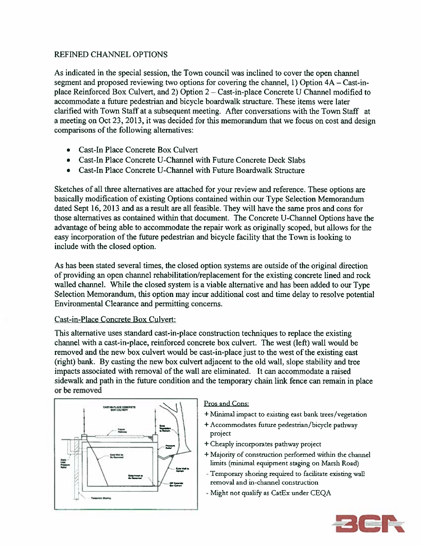#### **REFINED CHANNEL OPTIONS**

As indicated in the special session, the Town council was inclined to cover the open channel segment and proposed reviewing two options for covering the channel, 1) Option 4A – Cast-inplace Reinforced Box Culvert, and 2) Option 2 – Cast-in-place Concrete U Channel modified to accommodate a future pedestrian and bicycle boardwalk structure. These items were later clarified with Town Staff at a subsequent meeting. After conversations with the Town Staff at a meeting on Oct 23, 2013, it was decided for this memorandum that we focus on cost and design comparisons of the following alternatives:

- Cast-In Place Concrete Box Culvert
- Cast-In Place Concrete U-Channel with Future Concrete Deck Slabs
- Cast-In Place Concrete U-Channel with Future Boardwalk Structure

Sketches of all three alternatives are attached for your review and reference. These options are basically modification of existing Options contained within our Type Selection Memorandum dated Sept 16, 2013 and as a result are all feasible. They will have the same pros and cons for those alternatives as contained within that document. The Concrete U-Channel Options have the advantage of being able to accommodate the repair work as originally scoped, but allows for the easy incorporation of the future pedestrian and bicycle facility that the Town is looking to include with the closed option.

As has been stated several times, the closed option systems are outside of the original direction of providing an open channel rehabilitation/replacement for the existing concrete lined and rock walled channel. While the closed system is a viable alternative and has been added to our Type Selection Memorandum, this option may incur additional cost and time delay to resolve potential Environmental Clearance and permitting concerns.

#### Cast-in-Place Concrete Box Culvert:

This alternative uses standard cast-in-place construction techniques to replace the existing channel with a cast-in-place, reinforced concrete box culvert. The west (left) wall would be removed and the new box culvert would be cast-in-place just to the west of the existing east (right) bank. By casting the new box culvert adjacent to the old wall, slope stability and tree impacts associated with removal of the wall are eliminated. It can accommodate a raised sidewalk and path in the future condition and the temporary chain link fence can remain in place or be removed



#### Pros and Cons:

- + Minimal impact to existing east bank trees/vegetation
- + Accommodates future pedestrian/bicycle pathway project
- + Cheaply incorporates pathway project
- + Majority of construction performed within the channel limits (minimal equipment staging on Marsh Road)
- Temporary shoring required to facilitate existing wall removal and in-channel construction
- Might not qualify as CatEx under CEQA

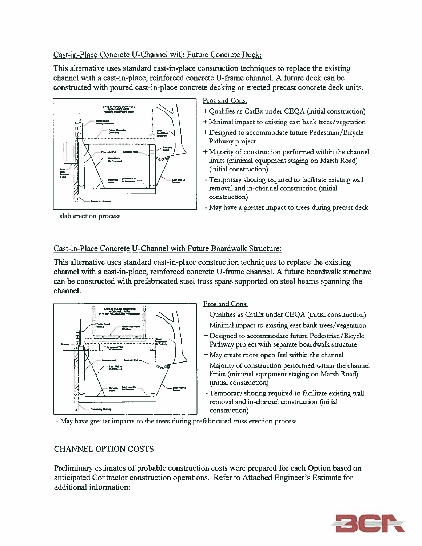#### Cast-in-Place Concrete U-Channel with Future Concrete Deck:

This alternative uses standard cast-in-place construction techniques to replace the existing channel with a cast-in-place, reinforced concrete U-frame channel. A future deck can be constructed with poured cast-in-place concrete decking or erected precast concrete deck units.



slab erection process

#### Pros and Cons:

- + Qualifies as CatEx under CEQA (initial construction)
- + Minimal impact to existing east bank trees/vegetation
- + Designed to accommodate future Pedestrian/Bicycle Pathway project
- + Majority of construction performed within the channel limits (minimal equipment staging on Marsh Road) (initial construction)
- Temporary shoring required to facilitate existing wall removal and in-channel construction (initial construction)
- May have a greater impact to trees during precast deck

#### Cast-in-Place Concrete U-Channel with Future Boardwalk Structure:

This alternative uses standard cast-in-place construction techniques to replace the existing channel with a cast-in-place, reinforced concrete U-frame channel. A future boardwalk structure can be constructed with prefabricated steel truss spans supported on steel beams spanning the channel.



#### Pros and Cons:

- + Qualifies as CatEx under CEQA (initial construction)
- + Minimal impact to existing east bank trees/vegetation
- + Designed to accommodate future Pedestrian/Bicycle Pathway project with separate boardwalk structure
- + May create more open feel within the channel
- + Majority of construction performed within the channel limits (minimal equipment staging on Marsh Road) (initial construction)
- Temporary shoring required to facilitate existing wall removal and in-channel construction (initial construction)

- May have greater impacts to the trees during prefabricated truss erection process

#### **CHANNEL OPTION COSTS**

Preliminary estimates of probable construction costs were prepared for each Option based on anticipated Contractor construction operations. Refer to Attached Engineer's Estimate for additional information:

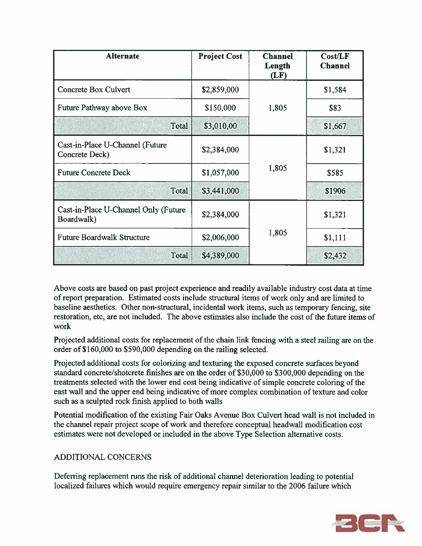| <b>Alternate</b>                                   | <b>Project Cost</b> | <b>Channel</b><br>Length<br>(LF) | Cost/LF<br><b>Channel</b> |
|----------------------------------------------------|---------------------|----------------------------------|---------------------------|
| Concrete Box Culvert                               | \$2,859,000         |                                  | \$1,584                   |
| Future Pathway above Box                           | \$150,000           | 1,805                            | \$83                      |
| Total                                              | \$3,010,00          |                                  | \$1,667                   |
| Cast-in-Place U-Channel (Future<br>Concrete Deck)  | \$2,384,000         |                                  | \$1,321                   |
| <b>Future Concrete Deck</b>                        | \$1,057,000         | 1,805                            | \$585                     |
| Total                                              | \$3,441,000         |                                  | \$1906                    |
| Cast-in-Place U-Channel Only (Future<br>Boardwalk) | \$2,384,000         |                                  | \$1,321                   |
| <b>Future Boardwalk Structure</b>                  | \$2,006,000         | 1,805                            | \$1,111                   |
| <b>Total</b>                                       | \$4,389,000         |                                  | \$2,432                   |

Above costs are based on past project experience and readily available industry cost data at time of report preparation. Estimated costs include structural items of work only and are limited to baseline aesthetics. Other non-structural, incidental work items, such as temporary fencing, site restoration, etc, are not included. The above estimates also include the cost of the future items of work

Projected additional costs for replacement of the chain link fencing with a steel railing are on the order of \$160,000 to \$590,000 depending on the railing selected.

Projected additional costs for colorizing and texturing the exposed concrete surfaces beyond standard concrete/shotcrete finishes are on the order of \$30,000 to \$300,000 depending on the treatments selected with the lower end cost being indicative of simple concrete coloring of the east wall and the upper end being indicative of more complex combination of texture and color such as a sculpted rock finish applied to both walls

Potential modification of the existing Fair Oaks Avenue Box Culvert head wall is not included in the channel repair project scope of work and therefore conceptual headwall modification cost estimates were not developed or included in the above Type Selection alternative costs.

#### ADDITIONAL CONCERNS

Deferring replacement runs the risk of additional channel deterioration leading to potential localized failures which would require emergency repair similar to the 2006 failure which

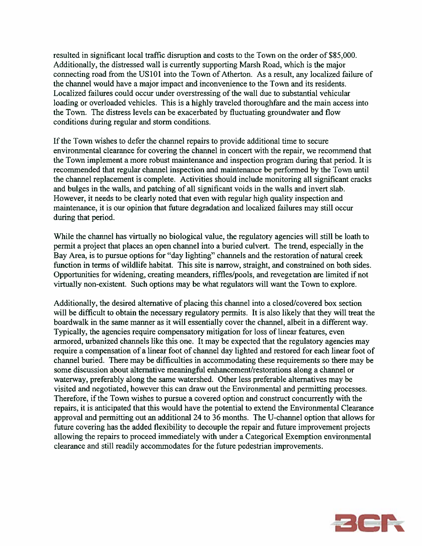resulted in significant local traffic disruption and costs to the Town on the order of \$85,000. Additionally, the distressed wall is currently supporting Marsh Road, which is the major connecting road from the US101 into the Town of Atherton. As a result, any localized failure of the channel would have a major impact and inconvenience to the Town and its residents. Localized failures could occur under overstressing of the wall due to substantial vehicular loading or overloaded vehicles. This is a highly traveled thoroughfare and the main access into the Town. The distress levels can be exacerbated by fluctuating groundwater and flow conditions during regular and storm conditions.

If the Town wishes to defer the channel repairs to provide additional time to secure environmental clearance for covering the channel in concert with the repair, we recommend that the Town implement a more robust maintenance and inspection program during that period. It is recommended that regular channel inspection and maintenance be performed by the Town until the channel replacement is complete. Activities should include monitoring all significant cracks and bulges in the walls, and patching of all significant voids in the walls and invert slab. However, it needs to be clearly noted that even with regular high quality inspection and maintenance, it is our opinion that future degradation and localized failures may still occur during that period.

While the channel has virtually no biological value, the regulatory agencies will still be loath to permit a project that places an open channel into a buried culvert. The trend, especially in the Bay Area, is to pursue options for "day lighting" channels and the restoration of natural creek function in terms of wildlife habitat. This site is narrow, straight, and constrained on both sides. Opportunities for widening, creating meanders, riffles/pools, and revegetation are limited if not virtually non-existent. Such options may be what regulators will want the Town to explore.

Additionally, the desired alternative of placing this channel into a closed/covered box section will be difficult to obtain the necessary regulatory permits. It is also likely that they will treat the boardwalk in the same manner as it will essentially cover the channel, albeit in a different way. Typically, the agencies require compensatory mitigation for loss of linear features, even armored, urbanized channels like this one. It may be expected that the regulatory agencies may require a compensation of a linear foot of channel day lighted and restored for each linear foot of channel buried. There may be difficulties in accommodating these requirements so there may be some discussion about alternative meaningful enhancement/restorations along a channel or waterway, preferably along the same watershed. Other less preferable alternatives may be visited and negotiated, however this can draw out the Environmental and permitting processes. Therefore, if the Town wishes to pursue a covered option and construct concurrently with the repairs, it is anticipated that this would have the potential to extend the Environmental Clearance approval and permitting out an additional 24 to 36 months. The U-channel option that allows for future covering has the added flexibility to decouple the repair and future improvement projects allowing the repairs to proceed immediately with under a Categorical Exemption environmental clearance and still readily accommodates for the future pedestrian improvements.

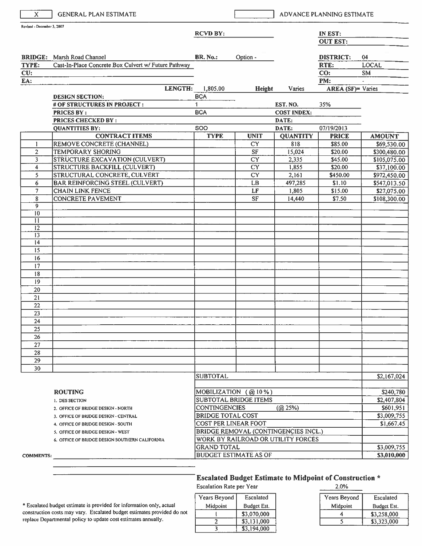| X.                         | <b>GENERAL PLAN ESTIMATE</b>                                               |                                                          |                                             |                    | ADVANCE PLANNING ESTIMATE |                          |
|----------------------------|----------------------------------------------------------------------------|----------------------------------------------------------|---------------------------------------------|--------------------|---------------------------|--------------------------|
| Revised - December 3, 2007 |                                                                            | <b>RCVD BY:</b>                                          |                                             |                    | IN EST:                   |                          |
|                            |                                                                            |                                                          |                                             |                    | <b>OUT EST:</b>           |                          |
|                            | <b>BRIDGE:</b> Marsh Road Channel                                          | <b>BR. No.:</b>                                          | Option -                                    |                    | <b>DISTRICT:</b>          | 04                       |
| TYPE:                      | Cast-In-Place Concrete Box Culvert w/ Future Pathway                       |                                                          |                                             |                    | RTE:                      | <b>LOCAL</b>             |
| CU:                        |                                                                            |                                                          |                                             |                    | CO:                       | <b>SM</b>                |
| EA:                        |                                                                            |                                                          |                                             |                    | PM:                       |                          |
|                            | LENGTH:                                                                    | 1,805.00                                                 | Height                                      | Varies             | <b>AREA</b> (SF)= Varies  |                          |
|                            | <b>DESIGN SECTION:</b>                                                     | <b>BCA</b>                                               |                                             |                    |                           |                          |
|                            | # OF STRUCTURES IN PROJECT :                                               | $\mathbf{1}$                                             |                                             | EST. NO.           | 35%                       |                          |
|                            | <b>PRICES BY:</b>                                                          | <b>BCA</b>                                               |                                             | <b>COST INDEX:</b> |                           |                          |
|                            | <b>PRICES CHECKED BY:</b>                                                  |                                                          |                                             | DATE:              |                           |                          |
|                            | <b>QUANTITIES BY:</b>                                                      | <b>SOO</b>                                               |                                             | DATE:              | 07/19/2013                |                          |
|                            | <b>CONTRACT ITEMS</b>                                                      | <b>TYPE</b>                                              | <b>UNIT</b>                                 | <b>QUANTITY</b>    | <b>PRICE</b>              | <b>AMOUNT</b>            |
| 1                          | REMOVE CONCRETE (CHANNEL)                                                  |                                                          | <b>CY</b>                                   | 818                | \$85.00                   | \$69,530.00              |
| $\overline{2}$             | <b>TEMPORARY SHORING</b>                                                   |                                                          | ${\rm SF}$                                  | 15,024             | \$20.00                   | \$300,480.00             |
| 3                          | STRUCTURE EXCAVATION (CULVERT)                                             |                                                          | <b>CY</b>                                   | 2,335              | \$45.00                   | \$105,075.00             |
| $\overline{\bf{4}}$        | STRUCTURE BACKFILL (CULVERT)                                               |                                                          | $\overline{\text{CY}}$                      | 1,855              | \$20.00                   | \$37,100.00              |
| 5                          | STRUCTURAL CONCRETE, CULVERT                                               |                                                          | $\overline{\text{CY}}$                      | 2,161              | \$450.00                  | \$972,450.00             |
| 6                          | <b>BAR REINFORCING STEEL (CULVERT)</b>                                     |                                                          | LB                                          | 497,285            | \$1.10                    | \$547,013.50             |
| $\overline{7}$             | <b>CHAIN LINK FENCE</b>                                                    |                                                          | LF                                          | 1,805              | \$15.00                   | \$27,075.00              |
| 8                          | <b>CONCRETE PAVEMENT</b>                                                   |                                                          | $\rm SF$                                    | 14,440             | \$7.50                    | \$108,300.00             |
| $\overline{9}$<br>10       |                                                                            |                                                          |                                             |                    |                           |                          |
| $\overline{11}$            |                                                                            |                                                          |                                             |                    |                           |                          |
| $\overline{12}$            |                                                                            |                                                          |                                             |                    |                           |                          |
| 13                         |                                                                            |                                                          |                                             |                    |                           |                          |
| 14                         |                                                                            |                                                          |                                             |                    |                           |                          |
| $\overline{15}$            |                                                                            |                                                          |                                             |                    |                           |                          |
| 16                         |                                                                            |                                                          |                                             |                    |                           |                          |
| 17                         |                                                                            |                                                          |                                             |                    |                           |                          |
| 18                         |                                                                            |                                                          |                                             |                    |                           |                          |
| 19                         |                                                                            |                                                          |                                             |                    |                           |                          |
| 20                         |                                                                            |                                                          |                                             |                    |                           |                          |
| 21                         |                                                                            |                                                          |                                             |                    |                           |                          |
| 22                         |                                                                            |                                                          |                                             |                    |                           |                          |
| 23                         |                                                                            |                                                          |                                             |                    |                           |                          |
| 24                         |                                                                            |                                                          |                                             |                    |                           |                          |
| 25                         |                                                                            |                                                          |                                             |                    |                           |                          |
| 26                         |                                                                            |                                                          |                                             |                    |                           |                          |
| 27                         |                                                                            |                                                          |                                             |                    |                           |                          |
| 28                         |                                                                            |                                                          |                                             |                    |                           |                          |
| 29                         |                                                                            |                                                          |                                             |                    |                           |                          |
| 30                         |                                                                            |                                                          |                                             |                    |                           |                          |
|                            |                                                                            | <b>SUBTOTAL</b>                                          |                                             |                    |                           | \$2,167,024              |
|                            |                                                                            |                                                          | MOBILIZATION (@10%)                         |                    |                           |                          |
|                            | <b>ROUTING</b>                                                             |                                                          | <b>SUBTOTAL BRIDGE ITEMS</b>                |                    |                           | \$240,780<br>\$2,407,804 |
|                            | 1. DES SECTION                                                             | <b>CONTINGENCIES</b>                                     |                                             | (Q25%)             |                           | \$601,951                |
|                            | 2. OFFICE OF BRIDGE DESIGN - NORTH                                         | <b>BRIDGE TOTAL COST</b>                                 |                                             |                    |                           | \$3,009,755              |
|                            | 3. OFFICE OF BRIDGE DESIGN - CENTRAL<br>4. OFFICE OF BRIDGE DESIGN - SOUTH |                                                          | <b>COST PER LINEAR FOOT</b>                 |                    |                           | \$1,667.45               |
|                            | 5. OFFICE OF BRIDGE DESIGN - WEST                                          |                                                          | <b>BRIDGE REMOVAL (CONTINGENCIES INCL.)</b> |                    |                           |                          |
|                            | 6. OFFICE OF BRIDGE DESIGN SOUTHERN CALIFORNIA                             |                                                          |                                             |                    |                           |                          |
|                            |                                                                            | WORK BY RAILROAD OR UTILITY FORCES<br><b>GRAND TOTAL</b> |                                             |                    |                           | \$3,009,755              |
| <b>COMMENTS:</b>           |                                                                            |                                                          | <b>BUDGET ESTIMATE AS OF</b>                |                    |                           | \$3,010,000              |
|                            |                                                                            |                                                          |                                             |                    |                           |                          |

| Years Beyond | Escalated   |
|--------------|-------------|
| Midpoint     | Budget Est. |
|              | \$3,070,000 |
|              | \$3,131,000 |
|              | \$3,194,000 |

Years Beyond Escalated Midpoint **Budget Est.**  $\overline{4}$ \$3,258,000  $\overline{5}$  $$3,323,000$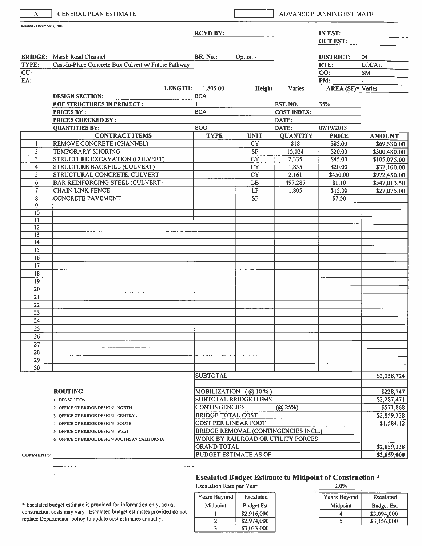| X.                         | <b>GENERAL PLAN ESTIMATE</b>                         |                          |                                      |                    | ADVANCE PLANNING ESTIMATE |               |
|----------------------------|------------------------------------------------------|--------------------------|--------------------------------------|--------------------|---------------------------|---------------|
| Revised - December 3, 2007 |                                                      | <b>RCVD BY:</b>          |                                      |                    | IN EST:                   |               |
|                            |                                                      |                          |                                      |                    | <b>OUT EST:</b>           |               |
|                            | <b>BRIDGE:</b> Marsh Road Channel                    | <b>BR. No.:</b>          | Option -                             |                    | <b>DISTRICT:</b>          | 04            |
| TYPE:                      | Cast-In-Place Concrete Box Culvert w/ Future Pathway |                          |                                      |                    | RTE:                      | <b>LOCAL</b>  |
| CU:                        |                                                      |                          |                                      |                    | CO:                       | <b>SM</b>     |
| EA:                        |                                                      |                          |                                      |                    | PM:                       |               |
|                            | LENGTH:                                              | 1,805.00                 | Height                               | Varies             | <b>AREA</b> (SF)= Varies  |               |
|                            | <b>DESIGN SECTION:</b>                               | <b>BCA</b>               |                                      |                    |                           |               |
|                            | # OF STRUCTURES IN PROJECT:                          | $\mathbf{1}$             |                                      | EST. NO.           | 35%                       |               |
|                            | <b>PRICES BY:</b>                                    | <b>BCA</b>               |                                      | <b>COST INDEX:</b> |                           |               |
|                            | PRICES CHECKED BY:                                   |                          |                                      | DATE:              |                           |               |
|                            | <b>QUANTITIES BY:</b>                                | <b>SOO</b>               |                                      | DATE:              | 07/19/2013                |               |
|                            | <b>CONTRACT ITEMS</b>                                | <b>TYPE</b>              | <b>UNIT</b>                          | <b>QUANTITY</b>    | <b>PRICE</b>              | <b>AMOUNT</b> |
| 1                          | REMOVE CONCRETE (CHANNEL)                            |                          | ${\rm CY}$                           | 818                | \$85.00                   | \$69,530.00   |
| $\overline{2}$             | TEMPORARY SHORING                                    |                          | ${\rm SF}$                           | 15,024             | \$20.00                   | \$300,480.00  |
| 3                          | STRUCTURE EXCAVATION (CULVERT)                       |                          | $\overline{CY}$                      | 2,335              | \$45.00                   | \$105,075.00  |
| 4                          | <b>STRUCTURE BACKFILL (CULVERT)</b>                  |                          | CY                                   | 1,855              | \$20.00                   | \$37,100.00   |
| 5                          | STRUCTURAL CONCRETE, CULVERT                         |                          | CY                                   | 2,161              | \$450.00                  | \$972,450.00  |
| 6                          | <b>BAR REINFORCING STEEL (CULVERT)</b>               |                          | LB                                   | 497,285            | \$1.10                    | \$547,013.50  |
| $\overline{7}$             | <b>CHAIN LINK FENCE</b>                              |                          | LF                                   | 1,805              | \$15.00                   | \$27,075.00   |
| 8                          | <b>CONCRETE PAVEMENT</b>                             |                          | <b>SF</b>                            |                    | \$7.50                    |               |
| $\overline{9}$             |                                                      |                          |                                      |                    |                           |               |
| 10                         |                                                      |                          |                                      |                    |                           |               |
| 11                         |                                                      |                          |                                      |                    |                           |               |
| $\overline{12}$            |                                                      |                          |                                      |                    |                           |               |
| $\overline{13}$            |                                                      |                          |                                      |                    |                           |               |
| 14                         |                                                      |                          |                                      |                    |                           |               |
| 15                         |                                                      |                          |                                      |                    |                           |               |
| 16                         |                                                      |                          |                                      |                    |                           |               |
| 17                         |                                                      |                          |                                      |                    |                           |               |
| 18                         |                                                      |                          |                                      |                    |                           |               |
| 19                         |                                                      |                          |                                      |                    |                           |               |
| 20                         |                                                      |                          |                                      |                    |                           |               |
| 21                         |                                                      |                          |                                      |                    |                           |               |
| 22                         |                                                      |                          |                                      |                    |                           |               |
| 23                         |                                                      |                          |                                      |                    |                           |               |
| 24                         |                                                      |                          |                                      |                    |                           |               |
| 25                         |                                                      |                          |                                      |                    |                           |               |
| 26                         |                                                      |                          |                                      |                    |                           |               |
| 27                         |                                                      |                          |                                      |                    |                           |               |
| 28                         |                                                      |                          |                                      |                    |                           |               |
| 29                         |                                                      |                          |                                      |                    |                           |               |
| 30                         |                                                      |                          |                                      |                    |                           |               |
|                            |                                                      | <b>SUBTOTAL</b>          |                                      |                    |                           | \$2,058,724   |
|                            |                                                      |                          |                                      |                    |                           |               |
|                            | <b>ROUTING</b>                                       |                          | MOBILIZATION $(Q010\%)$              |                    |                           | \$228,747     |
|                            | I. DES SECTION                                       |                          | <b>SUBTOTAL BRIDGE ITEMS</b>         |                    |                           | \$2,287,471   |
|                            | 2. OFFICE OF BRIDGE DESIGN - NORTH                   | <b>CONTINGENCIES</b>     |                                      | (Q25%)             |                           | \$571,868     |
|                            | 3. OFFICE OF BRIDGE DESIGN - CENTRAL                 | <b>BRIDGE TOTAL COST</b> |                                      |                    |                           | \$2,859,338   |
|                            | 4. OFFICE OF BRIDGE DESIGN - SOUTH                   | COST PER LINEAR FOOT     |                                      |                    |                           | \$1,584.12    |
|                            | 5. OFFICE OF BRIDGE DESIGN - WEST                    |                          | BRIDGE REMOVAL (CONTINGENCIES INCL.) |                    |                           |               |
|                            | 6. OFFICE OF BRIDGE DESIGN SOUTHERN CALIFORNIA       |                          | WORK BY RAILROAD OR UTILITY FORCES   |                    |                           |               |
|                            |                                                      | <b>GRAND TOTAL</b>       |                                      |                    |                           | \$2,859,338   |
| <b>COMMENTS:</b>           |                                                      |                          | <b>BUDGET ESTIMATE AS OF</b>         |                    |                           | \$2,859,000   |

| Years Beyond | Escalated   |  |  |
|--------------|-------------|--|--|
| Midpoint     | Budget Est. |  |  |
|              | \$2,916,000 |  |  |
|              | \$2,974,000 |  |  |
|              | \$3,033,000 |  |  |

| Years Beyond | Escalated   |
|--------------|-------------|
| Midpoint     | Budget Est. |
|              | \$3,094,000 |
|              | \$3,156,000 |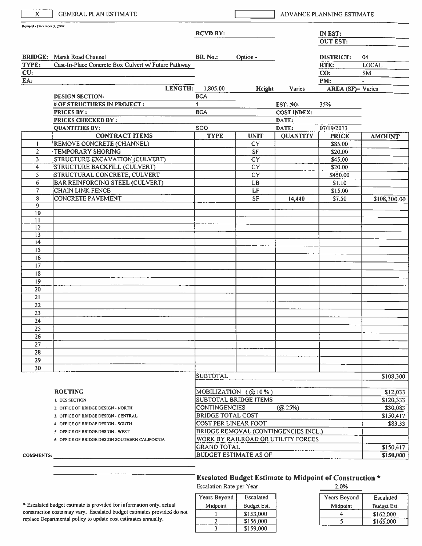| $\mathbf{x}$               | <b>GENERAL PLAN ESTIMATE</b>                         |                          |                                                         |                    | ADVANCE PLANNING ESTIMATE       |                       |
|----------------------------|------------------------------------------------------|--------------------------|---------------------------------------------------------|--------------------|---------------------------------|-----------------------|
| Revised - December 3, 2007 |                                                      | <b>RCVD BY:</b>          |                                                         |                    | IN EST:                         |                       |
|                            |                                                      |                          |                                                         |                    | <b>OUT EST:</b>                 |                       |
|                            |                                                      |                          |                                                         |                    |                                 |                       |
|                            | <b>BRIDGE:</b> Marsh Road Channel                    | <b>BR. No.:</b>          | Option -                                                |                    | <b>DISTRICT:</b>                | 04                    |
| TYPE:                      | Cast-In-Place Concrete Box Culvert w/ Future Pathway |                          |                                                         |                    | RTE:                            | <b>LOCAL</b>          |
| CU:<br>EA:                 |                                                      |                          |                                                         |                    | CO:                             | <b>SM</b>             |
|                            | LENGTH:                                              | 1,805.00                 | Height                                                  | Varies             | PM:<br><b>AREA</b> (SF)= Varies |                       |
|                            | <b>DESIGN SECTION:</b>                               | <b>BCA</b>               |                                                         |                    |                                 |                       |
|                            | # OF STRUCTURES IN PROJECT:                          | $\mathbf{1}$             |                                                         | EST. NO.           | 35%                             |                       |
|                            | <b>PRICES BY:</b>                                    | <b>BCA</b>               |                                                         | <b>COST INDEX:</b> |                                 |                       |
|                            | PRICES CHECKED BY :                                  |                          |                                                         | DATE:              |                                 |                       |
|                            | <b>QUANTITIES BY:</b>                                | <b>SOO</b>               |                                                         | DATE:              | 07/19/2013                      |                       |
|                            | <b>CONTRACT ITEMS</b>                                | <b>TYPE</b>              | <b>UNIT</b>                                             | <b>QUANTITY</b>    | <b>PRICE</b>                    | <b>AMOUNT</b>         |
| -1                         | REMOVE CONCRETE (CHANNEL)                            |                          | CY                                                      |                    | \$85.00                         |                       |
| $\overline{2}$             | <b>TEMPORARY SHORING</b>                             |                          | $\rm SF$                                                |                    | \$20.00                         |                       |
| 3                          | <b>STRUCTURE EXCAVATION (CULVERT)</b>                |                          | CY                                                      |                    | \$45.00                         |                       |
| 4                          | STRUCTURE BACKFILL (CULVERT)                         |                          | $\overline{CY}$                                         |                    | \$20.00                         |                       |
| 5                          | STRUCTURAL CONCRETE, CULVERT                         |                          | <b>CY</b>                                               |                    | \$450.00                        |                       |
| 6                          | BAR REINFORCING STEEL (CULVERT)                      |                          | LB.                                                     |                    | \$1.10                          |                       |
| $\overline{7}$             | CHAIN LINK FENCE                                     |                          | LF                                                      |                    | \$15.00                         |                       |
| 8<br>9                     | <b>CONCRETE PAVEMENT</b>                             |                          | <b>SF</b>                                               | 14,440             | \$7.50                          | \$108,300.00          |
| $\overline{10}$            |                                                      |                          |                                                         |                    |                                 |                       |
| $\mathbf{1}$               |                                                      |                          |                                                         |                    |                                 |                       |
| 12                         |                                                      |                          |                                                         |                    |                                 |                       |
| $\overline{13}$            |                                                      |                          |                                                         |                    |                                 |                       |
| $\overline{14}$            |                                                      |                          |                                                         |                    |                                 |                       |
| 15                         |                                                      |                          |                                                         |                    |                                 |                       |
| 16                         |                                                      |                          |                                                         |                    |                                 |                       |
| 17                         |                                                      |                          |                                                         |                    |                                 |                       |
| 18<br>19                   |                                                      |                          |                                                         |                    |                                 |                       |
| 20                         |                                                      |                          |                                                         |                    |                                 |                       |
| 21                         |                                                      |                          |                                                         |                    |                                 |                       |
| 22                         |                                                      |                          |                                                         |                    |                                 |                       |
| 23                         |                                                      |                          |                                                         |                    |                                 |                       |
| 24                         |                                                      |                          |                                                         |                    |                                 |                       |
| 25                         |                                                      |                          |                                                         |                    |                                 |                       |
| 26                         |                                                      |                          |                                                         |                    |                                 |                       |
| 27                         |                                                      |                          |                                                         |                    |                                 |                       |
| 28                         |                                                      |                          |                                                         |                    |                                 |                       |
| 29                         |                                                      |                          |                                                         |                    |                                 |                       |
| 30                         |                                                      |                          |                                                         |                    |                                 |                       |
|                            |                                                      | <b>SUBTOTAL</b>          |                                                         |                    |                                 | \$108,300             |
|                            | <b>ROUTING</b>                                       |                          |                                                         |                    |                                 |                       |
|                            | 1. DES SECTION                                       |                          | MOBILIZATION $(Q)$ 10%)<br><b>SUBTOTAL BRIDGE ITEMS</b> |                    |                                 | \$12,033<br>\$120,333 |
|                            | 2. OFFICE OF BRIDGE DESIGN - NORTH                   | <b>CONTINGENCIES</b>     |                                                         | (Q25%)             |                                 | \$30,083              |
|                            | 3. OFFICE OF BRIDGE DESIGN - CENTRAL                 | <b>BRIDGE TOTAL COST</b> |                                                         |                    |                                 | \$150,417             |
|                            | 4. OFFICE OF BRIDGE DESIGN - SOUTH                   |                          | COST PER LINEAR FOOT                                    |                    |                                 | \$83.33               |
|                            | 5. OFFICE OF BRIDGE DESIGN - WEST                    |                          | BRIDGE REMOVAL (CONTINGENCIES INCL.)                    |                    |                                 |                       |
|                            | 6. OFFICE OF BRIDGE DESIGN SOUTHERN CALIFORNIA       |                          | WORK BY RAILROAD OR UTILITY FORCES                      |                    |                                 |                       |
|                            |                                                      | <b>GRAND TOTAL</b>       |                                                         |                    |                                 | \$150,417             |
| <b>COMMENTS:</b>           |                                                      |                          | <b>BUDGET ESTIMATE AS OF</b>                            |                    |                                 | \$150,000             |

### Escalated Budget Estimate to Midpoint of Construction \*

Escalation Rate per Year

| Years Beyond | Escalated   |
|--------------|-------------|
| Midpoint     | Budget Est. |
|              | \$153,000   |
|              | \$156,000   |
|              | \$159,000   |

| 2.0%         |             |
|--------------|-------------|
| Years Beyond | Escalated   |
| Midpoint     | Budget Est. |
| 4            | \$162,000   |
|              | \$165,000   |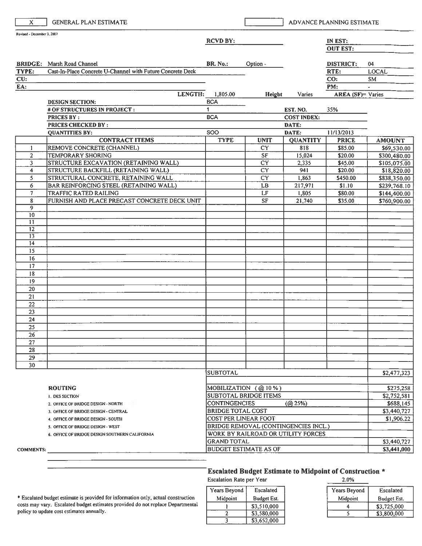| $\mathbf{x}$               | <b>GENERAL PLAN ESTIMATE</b>                               |                            |                                      |                                | ADVANCE PLANNING ESTIMATE |               |
|----------------------------|------------------------------------------------------------|----------------------------|--------------------------------------|--------------------------------|---------------------------|---------------|
| Revised - December 3, 2007 |                                                            | <b>RCVD BY:</b>            |                                      |                                | IN EST:                   |               |
|                            |                                                            |                            |                                      |                                | <b>OUT EST:</b>           |               |
|                            |                                                            |                            |                                      |                                |                           |               |
|                            | <b>BRIDGE:</b> Marsh Road Channel                          | <b>BR. No.:</b>            | Option -                             |                                | <b>DISTRICT:</b>          | 04            |
| TYPE:                      | Cast-In-Place Concrete U-Channel with Future Concrete Deck |                            |                                      |                                | RTE:                      | <b>LOCAL</b>  |
| CU:                        |                                                            |                            |                                      |                                | CO:                       | <b>SM</b>     |
| EA:                        |                                                            |                            |                                      |                                | PM:                       |               |
|                            | LENGTH:                                                    | 1,805.00                   | Height                               | Varies                         | <b>AREA</b> (SF)= Varies  |               |
|                            | <b>DESIGN SECTION:</b><br># OF STRUCTURES IN PROJECT:      | <b>BCA</b><br>$\mathbf{1}$ |                                      |                                |                           |               |
|                            | <b>PRICES BY:</b>                                          | <b>BCA</b>                 |                                      | EST. NO.<br><b>COST INDEX:</b> | 35%                       |               |
|                            | <b>PRICES CHECKED BY:</b>                                  |                            |                                      | DATE:                          |                           |               |
|                            | <b>QUANTITIES BY:</b>                                      | SOO                        |                                      | DATE:                          | 11/13/2013                |               |
|                            | <b>CONTRACT ITEMS</b>                                      | <b>TYPE</b>                | <b>UNIT</b>                          | <b>QUANTITY</b>                | <b>PRICE</b>              | <b>AMOUNT</b> |
| 1                          | REMOVE CONCRETE (CHANNEL)                                  |                            | <b>CY</b>                            | 818                            | \$85.00                   | \$69,530.00   |
| $\overline{c}$             | <b>TEMPORARY SHORING</b>                                   |                            | $\rm SF$                             | 15,024                         | \$20.00                   | \$300,480.00  |
| 3                          | STRUCTURE EXCAVATION (RETAINING WALL)                      |                            | CY                                   | 2,335                          | \$45.00                   | \$105,075.00  |
| 4                          | STRUCTURE BACKFILL (RETAINING WALL)                        |                            | <b>CY</b>                            | 941                            | \$20.00                   | \$18,820.00   |
| 5                          | STRUCTURAL CONCRETE, RETAINING WALL                        |                            | <b>CY</b>                            | 1,863                          | \$450.00                  | \$838,350.00  |
| 6                          | BAR REINFORCING STEEL (RETAINING WALL)                     |                            | LB                                   | 217,971                        | \$1.10                    | \$239,768.10  |
| $\overline{7}$             | TRAFFIC RATED RAILING                                      |                            | LF                                   | 1,805                          | \$80.00                   | \$144,400.00  |
| 8                          | FURNISH AND PLACE PRECAST CONCRETE DECK UNIT               |                            | <b>SF</b>                            | 21,740                         | \$35.00                   | \$760,900.00  |
| $\overline{9}$             |                                                            |                            |                                      |                                |                           |               |
| 10<br>11                   |                                                            |                            |                                      |                                |                           |               |
| 12                         |                                                            |                            |                                      |                                |                           |               |
| $\overline{13}$            |                                                            |                            |                                      |                                |                           |               |
| 14                         |                                                            |                            |                                      |                                |                           |               |
| $\overline{15}$            |                                                            |                            |                                      |                                |                           |               |
| 16                         |                                                            |                            |                                      |                                |                           |               |
| 17                         |                                                            |                            |                                      |                                |                           |               |
| 18                         |                                                            |                            |                                      |                                |                           |               |
| 19                         |                                                            |                            |                                      |                                |                           |               |
| 20                         |                                                            |                            |                                      |                                |                           |               |
| 21                         |                                                            |                            |                                      |                                |                           |               |
| 22                         |                                                            |                            |                                      |                                |                           |               |
| 23                         |                                                            |                            |                                      |                                |                           |               |
| 24                         |                                                            |                            |                                      |                                |                           |               |
| 25                         |                                                            |                            |                                      |                                |                           |               |
| 26<br>27                   |                                                            |                            |                                      |                                |                           |               |
| 28                         |                                                            |                            |                                      |                                |                           |               |
| 29                         |                                                            |                            |                                      |                                |                           |               |
| 30                         |                                                            |                            |                                      |                                |                           |               |
|                            |                                                            | <b>SUBTOTAL</b>            |                                      |                                |                           | \$2,477,323   |
|                            |                                                            |                            |                                      |                                |                           |               |
|                            | <b>ROUTING</b>                                             |                            | MOBILIZATION (@10%)                  |                                |                           | \$275,258     |
|                            | <b>I. DES SECTION</b>                                      |                            | <b>SUBTOTAL BRIDGE ITEMS</b>         |                                |                           | \$2,752,581   |
|                            | 2. OFFICE OF BRIDGE DESIGN - NORTH                         | <b>CONTINGENCIES</b>       |                                      | (Q25%)                         |                           | \$688,145     |
|                            | 3. OFFICE OF BRIDGE DESIGN - CENTRAL                       | <b>BRIDGE TOTAL COST</b>   |                                      |                                |                           | \$3,440,727   |
|                            | 4. OFFICE OF BRIDGE DESIGN - SOUTH                         |                            | <b>COST PER LINEAR FOOT</b>          |                                |                           | \$1,906.22    |
|                            | 5. OFFICE OF BRIDGE DESIGN - WEST                          |                            | BRIDGE REMOVAL (CONTINGENCIES INCL.) |                                |                           |               |
|                            | 6. OFFICE OF BRIDGE DESIGN SOUTHERN CALIFORNIA             |                            | WORK BY RAILROAD OR UTILITY FORCES   |                                |                           |               |
|                            |                                                            | <b>GRAND TOTAL</b>         |                                      |                                |                           | \$3,440,727   |
| <b>COMMENTS:</b>           |                                                            |                            | <b>BUDGET ESTIMATE AS OF</b>         |                                |                           | \$3,441,000   |

### Escalated Budget Estimate to Midpoint of Construction \*

**Escalation Rate per Year** 

\* Escalated budget estimate is provided for information only, actual construction costs may vary. Escalated budget estimates provided do not replace Departmental policy to update cost estimates annually.

Years Beyond Escalated Midpoint **Budget Est.**  $\,$   $\,$ \$3,510,000  $\overline{2}$ \$3,580,000 \$3,652,000

| 2.0%         |             |
|--------------|-------------|
| Years Beyond | Escalated   |
| Midpoint     | Budget Est. |
|              | \$3,725,000 |
|              | \$3,800,000 |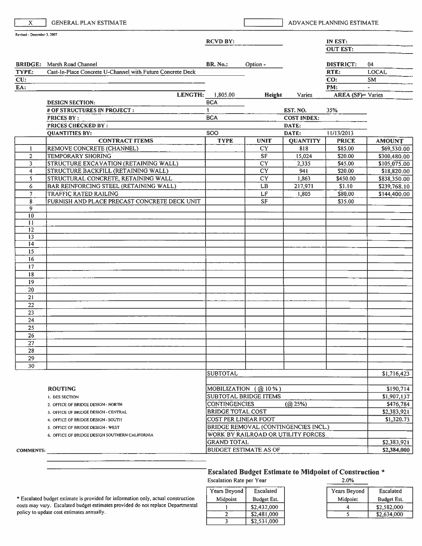| Revised - December 3, 2007<br><b>RCVD BY:</b><br><b>BRIDGE:</b> Marsh Road Channel<br><b>BR. No.:</b><br>Option -<br>Cast-In-Place Concrete U-Channel with Future Concrete Deck<br>TYPE:<br>CU:<br>EA:<br><b>LENGTH:</b><br>1,805.00<br><b>Height</b><br>Varies<br><b>BCA</b><br><b>DESIGN SECTION:</b><br>$\mathbf{1}$<br># OF STRUCTURES IN PROJECT:<br>EST. NO.<br><b>PRICES BY:</b><br><b>BCA</b><br><b>COST INDEX:</b><br><b>PRICES CHECKED BY:</b><br>DATE:<br><b>SOO</b><br>DATE:<br><b>QUANTITIES BY:</b><br><b>CONTRACT ITEMS</b><br><b>TYPE</b><br><b>UNIT</b><br><b>QUANTITY</b><br>818<br>REMOVE CONCRETE (CHANNEL)<br><b>CY</b><br>1<br><b>SF</b><br>$\overline{2}$<br><b>TEMPORARY SHORING</b><br>15,024<br>STRUCTURE EXCAVATION (RETAINING WALL)<br>CY<br>2,335<br>3<br>STRUCTURE BACKFILL (RETAINING WALL)<br><b>CY</b><br>941<br>4 | IN EST:<br><b>OUT EST:</b><br><b>DISTRICT:</b><br>RTE:<br>CO:<br>PM:<br><b>AREA</b> (SF)= Varies<br>35%<br>11/13/2013<br><b>PRICE</b><br>\$85.00<br>\$20.00<br>\$45.00<br>\$20.00<br>\$450.00<br>\$1.10 | 04<br><b>LOCAL</b><br><b>SM</b><br>$\sim$<br><b>AMOUNT</b><br>\$69,530.00<br>\$300,480.00 |  |  |
|-----------------------------------------------------------------------------------------------------------------------------------------------------------------------------------------------------------------------------------------------------------------------------------------------------------------------------------------------------------------------------------------------------------------------------------------------------------------------------------------------------------------------------------------------------------------------------------------------------------------------------------------------------------------------------------------------------------------------------------------------------------------------------------------------------------------------------------------------------|---------------------------------------------------------------------------------------------------------------------------------------------------------------------------------------------------------|-------------------------------------------------------------------------------------------|--|--|
|                                                                                                                                                                                                                                                                                                                                                                                                                                                                                                                                                                                                                                                                                                                                                                                                                                                     |                                                                                                                                                                                                         |                                                                                           |  |  |
|                                                                                                                                                                                                                                                                                                                                                                                                                                                                                                                                                                                                                                                                                                                                                                                                                                                     |                                                                                                                                                                                                         |                                                                                           |  |  |
|                                                                                                                                                                                                                                                                                                                                                                                                                                                                                                                                                                                                                                                                                                                                                                                                                                                     |                                                                                                                                                                                                         |                                                                                           |  |  |
|                                                                                                                                                                                                                                                                                                                                                                                                                                                                                                                                                                                                                                                                                                                                                                                                                                                     |                                                                                                                                                                                                         |                                                                                           |  |  |
|                                                                                                                                                                                                                                                                                                                                                                                                                                                                                                                                                                                                                                                                                                                                                                                                                                                     |                                                                                                                                                                                                         |                                                                                           |  |  |
|                                                                                                                                                                                                                                                                                                                                                                                                                                                                                                                                                                                                                                                                                                                                                                                                                                                     |                                                                                                                                                                                                         |                                                                                           |  |  |
|                                                                                                                                                                                                                                                                                                                                                                                                                                                                                                                                                                                                                                                                                                                                                                                                                                                     |                                                                                                                                                                                                         |                                                                                           |  |  |
|                                                                                                                                                                                                                                                                                                                                                                                                                                                                                                                                                                                                                                                                                                                                                                                                                                                     |                                                                                                                                                                                                         |                                                                                           |  |  |
|                                                                                                                                                                                                                                                                                                                                                                                                                                                                                                                                                                                                                                                                                                                                                                                                                                                     |                                                                                                                                                                                                         |                                                                                           |  |  |
|                                                                                                                                                                                                                                                                                                                                                                                                                                                                                                                                                                                                                                                                                                                                                                                                                                                     |                                                                                                                                                                                                         |                                                                                           |  |  |
|                                                                                                                                                                                                                                                                                                                                                                                                                                                                                                                                                                                                                                                                                                                                                                                                                                                     |                                                                                                                                                                                                         |                                                                                           |  |  |
|                                                                                                                                                                                                                                                                                                                                                                                                                                                                                                                                                                                                                                                                                                                                                                                                                                                     |                                                                                                                                                                                                         |                                                                                           |  |  |
|                                                                                                                                                                                                                                                                                                                                                                                                                                                                                                                                                                                                                                                                                                                                                                                                                                                     |                                                                                                                                                                                                         |                                                                                           |  |  |
|                                                                                                                                                                                                                                                                                                                                                                                                                                                                                                                                                                                                                                                                                                                                                                                                                                                     |                                                                                                                                                                                                         |                                                                                           |  |  |
|                                                                                                                                                                                                                                                                                                                                                                                                                                                                                                                                                                                                                                                                                                                                                                                                                                                     |                                                                                                                                                                                                         |                                                                                           |  |  |
|                                                                                                                                                                                                                                                                                                                                                                                                                                                                                                                                                                                                                                                                                                                                                                                                                                                     |                                                                                                                                                                                                         |                                                                                           |  |  |
|                                                                                                                                                                                                                                                                                                                                                                                                                                                                                                                                                                                                                                                                                                                                                                                                                                                     |                                                                                                                                                                                                         | \$105,075.00                                                                              |  |  |
|                                                                                                                                                                                                                                                                                                                                                                                                                                                                                                                                                                                                                                                                                                                                                                                                                                                     |                                                                                                                                                                                                         | \$18,820.00                                                                               |  |  |
| STRUCTURAL CONCRETE, RETAINING WALL<br><b>CY</b><br>5<br>1,863                                                                                                                                                                                                                                                                                                                                                                                                                                                                                                                                                                                                                                                                                                                                                                                      |                                                                                                                                                                                                         | \$838,350.00                                                                              |  |  |
| BAR REINFORCING STEEL (RETAINING WALL)<br>LB<br>217,971<br>6                                                                                                                                                                                                                                                                                                                                                                                                                                                                                                                                                                                                                                                                                                                                                                                        |                                                                                                                                                                                                         | \$239,768.10                                                                              |  |  |
| LF<br>7<br>TRAFFIC RATED RAILING<br>1,805                                                                                                                                                                                                                                                                                                                                                                                                                                                                                                                                                                                                                                                                                                                                                                                                           | \$80.00                                                                                                                                                                                                 | \$144,400.00                                                                              |  |  |
| FURNISH AND PLACE PRECAST CONCRETE DECK UNIT<br>8<br>SF                                                                                                                                                                                                                                                                                                                                                                                                                                                                                                                                                                                                                                                                                                                                                                                             | \$35.00                                                                                                                                                                                                 |                                                                                           |  |  |
| 9                                                                                                                                                                                                                                                                                                                                                                                                                                                                                                                                                                                                                                                                                                                                                                                                                                                   |                                                                                                                                                                                                         |                                                                                           |  |  |
| 10                                                                                                                                                                                                                                                                                                                                                                                                                                                                                                                                                                                                                                                                                                                                                                                                                                                  |                                                                                                                                                                                                         |                                                                                           |  |  |
| 11                                                                                                                                                                                                                                                                                                                                                                                                                                                                                                                                                                                                                                                                                                                                                                                                                                                  |                                                                                                                                                                                                         |                                                                                           |  |  |
| $\overline{12}$                                                                                                                                                                                                                                                                                                                                                                                                                                                                                                                                                                                                                                                                                                                                                                                                                                     |                                                                                                                                                                                                         |                                                                                           |  |  |
| 13<br>14                                                                                                                                                                                                                                                                                                                                                                                                                                                                                                                                                                                                                                                                                                                                                                                                                                            |                                                                                                                                                                                                         |                                                                                           |  |  |
| 15                                                                                                                                                                                                                                                                                                                                                                                                                                                                                                                                                                                                                                                                                                                                                                                                                                                  |                                                                                                                                                                                                         |                                                                                           |  |  |
| 16                                                                                                                                                                                                                                                                                                                                                                                                                                                                                                                                                                                                                                                                                                                                                                                                                                                  |                                                                                                                                                                                                         |                                                                                           |  |  |
| 17                                                                                                                                                                                                                                                                                                                                                                                                                                                                                                                                                                                                                                                                                                                                                                                                                                                  |                                                                                                                                                                                                         |                                                                                           |  |  |
| 18                                                                                                                                                                                                                                                                                                                                                                                                                                                                                                                                                                                                                                                                                                                                                                                                                                                  |                                                                                                                                                                                                         |                                                                                           |  |  |
| 19                                                                                                                                                                                                                                                                                                                                                                                                                                                                                                                                                                                                                                                                                                                                                                                                                                                  |                                                                                                                                                                                                         |                                                                                           |  |  |
| 20                                                                                                                                                                                                                                                                                                                                                                                                                                                                                                                                                                                                                                                                                                                                                                                                                                                  |                                                                                                                                                                                                         |                                                                                           |  |  |
| 21                                                                                                                                                                                                                                                                                                                                                                                                                                                                                                                                                                                                                                                                                                                                                                                                                                                  |                                                                                                                                                                                                         |                                                                                           |  |  |
| 22                                                                                                                                                                                                                                                                                                                                                                                                                                                                                                                                                                                                                                                                                                                                                                                                                                                  |                                                                                                                                                                                                         |                                                                                           |  |  |
| 23                                                                                                                                                                                                                                                                                                                                                                                                                                                                                                                                                                                                                                                                                                                                                                                                                                                  |                                                                                                                                                                                                         |                                                                                           |  |  |
| 24                                                                                                                                                                                                                                                                                                                                                                                                                                                                                                                                                                                                                                                                                                                                                                                                                                                  |                                                                                                                                                                                                         |                                                                                           |  |  |
| 25                                                                                                                                                                                                                                                                                                                                                                                                                                                                                                                                                                                                                                                                                                                                                                                                                                                  |                                                                                                                                                                                                         |                                                                                           |  |  |
| 26                                                                                                                                                                                                                                                                                                                                                                                                                                                                                                                                                                                                                                                                                                                                                                                                                                                  |                                                                                                                                                                                                         |                                                                                           |  |  |
| 27                                                                                                                                                                                                                                                                                                                                                                                                                                                                                                                                                                                                                                                                                                                                                                                                                                                  |                                                                                                                                                                                                         |                                                                                           |  |  |
| 28                                                                                                                                                                                                                                                                                                                                                                                                                                                                                                                                                                                                                                                                                                                                                                                                                                                  |                                                                                                                                                                                                         |                                                                                           |  |  |
| 29                                                                                                                                                                                                                                                                                                                                                                                                                                                                                                                                                                                                                                                                                                                                                                                                                                                  |                                                                                                                                                                                                         |                                                                                           |  |  |
| 30                                                                                                                                                                                                                                                                                                                                                                                                                                                                                                                                                                                                                                                                                                                                                                                                                                                  |                                                                                                                                                                                                         |                                                                                           |  |  |
| <b>SUBTOTAL</b>                                                                                                                                                                                                                                                                                                                                                                                                                                                                                                                                                                                                                                                                                                                                                                                                                                     |                                                                                                                                                                                                         | \$1,716,423                                                                               |  |  |
|                                                                                                                                                                                                                                                                                                                                                                                                                                                                                                                                                                                                                                                                                                                                                                                                                                                     |                                                                                                                                                                                                         |                                                                                           |  |  |
| MOBILIZATION (@10%)<br><b>ROUTING</b>                                                                                                                                                                                                                                                                                                                                                                                                                                                                                                                                                                                                                                                                                                                                                                                                               |                                                                                                                                                                                                         | \$190,714                                                                                 |  |  |
| SUBTOTAL BRIDGE ITEMS<br>1. DES SECTION                                                                                                                                                                                                                                                                                                                                                                                                                                                                                                                                                                                                                                                                                                                                                                                                             |                                                                                                                                                                                                         |                                                                                           |  |  |
| (Q25%)<br><b>CONTINGENCIES</b><br>2. OFFICE OF BRIDGE DESIGN - NORTH                                                                                                                                                                                                                                                                                                                                                                                                                                                                                                                                                                                                                                                                                                                                                                                |                                                                                                                                                                                                         | \$476,784                                                                                 |  |  |
| <b>BRIDGE TOTAL COST</b><br>3. OFFICE OF BRIDGE DESIGN - CENTRAL                                                                                                                                                                                                                                                                                                                                                                                                                                                                                                                                                                                                                                                                                                                                                                                    |                                                                                                                                                                                                         | \$2,383,921                                                                               |  |  |
| COST PER LINEAR FOOT<br>4. OFFICE OF BRIDGE DESIGN - SOUTH                                                                                                                                                                                                                                                                                                                                                                                                                                                                                                                                                                                                                                                                                                                                                                                          |                                                                                                                                                                                                         | \$1,320.73                                                                                |  |  |
| 5. OFFICE OF BRIDGE DESIGN - WEST                                                                                                                                                                                                                                                                                                                                                                                                                                                                                                                                                                                                                                                                                                                                                                                                                   | BRIDGE REMOVAL (CONTINGENCIES INCL.)                                                                                                                                                                    |                                                                                           |  |  |
| 6. OFFICE OF BRIDGE DESIGN SOUTHERN CALIFORNIA                                                                                                                                                                                                                                                                                                                                                                                                                                                                                                                                                                                                                                                                                                                                                                                                      | WORK BY RAILROAD OR UTILITY FORCES                                                                                                                                                                      |                                                                                           |  |  |
| <b>GRAND TOTAL</b>                                                                                                                                                                                                                                                                                                                                                                                                                                                                                                                                                                                                                                                                                                                                                                                                                                  |                                                                                                                                                                                                         | \$2,383,921                                                                               |  |  |
| <b>BUDGET ESTIMATE AS OF</b><br><b>COMMENTS:</b>                                                                                                                                                                                                                                                                                                                                                                                                                                                                                                                                                                                                                                                                                                                                                                                                    |                                                                                                                                                                                                         | \$2,384,000                                                                               |  |  |

### Escalated Budget Estimate to Midpoint of Construction \*

Escalation Rate per Year

| Years Beyond | Escalated   |
|--------------|-------------|
| Midpoint     | Budget Est. |
|              | \$2,432,000 |
|              | \$2,481,000 |
|              | \$2,531,000 |

| 2.0%         |             |
|--------------|-------------|
| Years Beyond | Escalated   |
| Midpoint     | Budget Est. |
|              | \$2,582,000 |
|              | \$2,634,000 |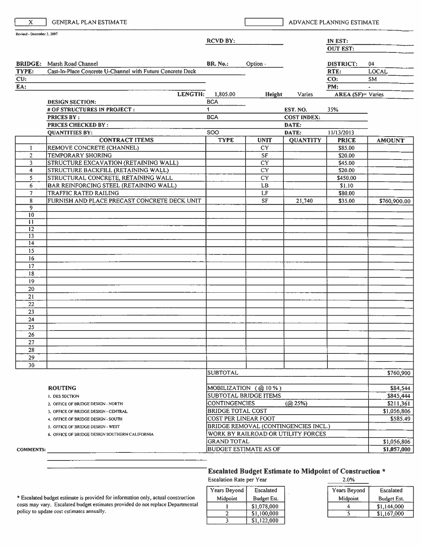| X.                         | <b>GENERAL PLAN ESTIMATE</b>                               |                                                   |                                      |                             | ADVANCE PLANNING ESTIMATE  |               |
|----------------------------|------------------------------------------------------------|---------------------------------------------------|--------------------------------------|-----------------------------|----------------------------|---------------|
| Revised - December 3, 2007 |                                                            |                                                   |                                      |                             |                            |               |
|                            |                                                            | <b>RCVD BY:</b>                                   |                                      |                             | IN EST:<br><b>OUT EST:</b> |               |
|                            |                                                            |                                                   |                                      |                             |                            |               |
|                            | <b>BRIDGE:</b> Marsh Road Channel                          | <b>BR. No.:</b>                                   | Option -                             |                             | DISTRICT:                  | 04            |
| TYPE:                      | Cast-In-Place Concrete U-Channel with Future Concrete Deck |                                                   |                                      |                             | RTE:                       | <b>LOCAL</b>  |
| CU:                        |                                                            |                                                   |                                      |                             | CO:                        | SM.           |
| EA:                        |                                                            |                                                   |                                      |                             | PM:                        | $\sim$        |
|                            | <b>LENGTH:</b>                                             | 1,805.00                                          | Height                               | Varies                      | <b>AREA</b> (SF)= Varies   |               |
|                            | <b>DESIGN SECTION:</b>                                     | <b>BCA</b>                                        |                                      |                             |                            |               |
|                            | # OF STRUCTURES IN PROJECT:                                | $\mathbf{1}$                                      |                                      | EST. NO.                    | 35%                        |               |
|                            | <b>PRICES BY:</b><br><b>PRICES CHECKED BY:</b>             | <b>BCA</b>                                        |                                      | <b>COST INDEX:</b><br>DATE: |                            |               |
|                            | <b>QUANTITIES BY:</b>                                      | <b>SOO</b>                                        |                                      | DATE:                       | 11/13/2013                 |               |
|                            | <b>CONTRACT ITEMS</b>                                      | <b>TYPE</b>                                       | <b>UNIT</b>                          | <b>QUANTITY</b>             | <b>PRICE</b>               | <b>AMOUNT</b> |
| 1                          | REMOVE CONCRETE (CHANNEL)                                  |                                                   | <b>CY</b>                            |                             | \$85.00                    |               |
| $\overline{2}$             | <b>TEMPORARY SHORING</b>                                   |                                                   | <b>SF</b>                            |                             | \$20.00                    |               |
| 3                          | STRUCTURE EXCAVATION (RETAINING WALL)                      |                                                   | $\overline{CY}$                      |                             | \$45.00                    |               |
| 4                          | STRUCTURE BACKFILL (RETAINING WALL)                        |                                                   | CY                                   |                             | \$20.00                    |               |
| 5                          | STRUCTURAL CONCRETE, RETAINING WALL                        |                                                   | <b>CY</b>                            |                             | \$450.00                   |               |
| 6                          | BAR REINFORCING STEEL (RETAINING WALL)                     |                                                   | LB                                   |                             | \$1.10                     |               |
| 7                          | TRAFFIC RATED RAILING                                      |                                                   | LF                                   |                             | \$80.00                    |               |
| 8<br>9                     | FURNISH AND PLACE PRECAST CONCRETE DECK UNIT               |                                                   | <b>SF</b>                            | 21,740                      | \$35.00                    | \$760,900.00  |
| 10                         |                                                            |                                                   |                                      |                             |                            |               |
| $\mathbf{H}$               |                                                            |                                                   |                                      |                             |                            |               |
| 12                         |                                                            |                                                   |                                      |                             |                            |               |
| 13                         |                                                            |                                                   |                                      |                             |                            |               |
| 14                         |                                                            |                                                   |                                      |                             |                            |               |
| 15<br>16                   |                                                            |                                                   |                                      |                             |                            |               |
| 17                         |                                                            |                                                   |                                      |                             |                            |               |
| 18                         |                                                            |                                                   |                                      |                             |                            |               |
| 19                         |                                                            |                                                   |                                      |                             |                            |               |
| 20                         |                                                            |                                                   |                                      |                             |                            |               |
| 21                         |                                                            |                                                   |                                      |                             |                            |               |
| 22                         |                                                            |                                                   |                                      |                             |                            |               |
| 23                         |                                                            |                                                   |                                      |                             |                            |               |
| 24                         |                                                            |                                                   |                                      |                             |                            |               |
| 25                         |                                                            |                                                   |                                      |                             |                            |               |
| 26                         |                                                            |                                                   |                                      |                             |                            |               |
| 27<br>28                   |                                                            |                                                   |                                      |                             |                            |               |
| 29                         |                                                            |                                                   |                                      |                             |                            |               |
| 30                         |                                                            |                                                   |                                      |                             |                            |               |
|                            |                                                            | <b>SUBTOTAL</b>                                   |                                      |                             |                            | \$760,900     |
|                            |                                                            |                                                   |                                      |                             |                            |               |
|                            | <b>ROUTING</b>                                             |                                                   | MOBILIZATION (@10%)                  |                             |                            | \$84,544      |
|                            | I. DES SECTION                                             | SUBTOTAL BRIDGE ITEMS                             |                                      |                             |                            | \$845,444     |
|                            | 2. OFFICE OF BRIDGE DESIGN - NORTH                         | <b>CONTINGENCIES</b>                              |                                      | (Q25%)                      |                            | \$211,361     |
|                            | 3. OFFICE OF BRIDGE DESIGN - CENTRAL                       | <b>BRIDGE TOTAL COST</b>                          |                                      |                             |                            | \$1,056,806   |
|                            | 4. OFFICE OF BRIDGE DESIGN - SOUTH                         | <b>COST PER LINEAR FOOT</b>                       |                                      |                             |                            | \$585.49      |
|                            | 5. OFFICE OF BRIDGE DESIGN - WEST                          |                                                   | BRIDGE REMOVAL (CONTINGENCIES INCL.) |                             |                            |               |
|                            | 6. OFFICE OF BRIDGE DESIGN SOUTHERN CALIFORNIA             | WORK BY RAILROAD OR UTILITY FORCES<br>GRAND TOTAL |                                      |                             |                            | \$1,056,806   |
| <b>COMMENTS:</b>           |                                                            |                                                   | <b>BUDGET ESTIMATE AS OF</b>         |                             |                            | \$1,057,000   |
|                            |                                                            |                                                   |                                      |                             |                            |               |

#### Escalated Budget Estimate to Midpoint of Construction \*  $200<sub>2</sub>$

**Escalation Rate per Year** 

\* Escalated budget estimate is provided for information only, actual construction costs may vary. Escalated budget estimates provided do not replace Departmental policy to update cost estimates annually.

#### Years Beyond Escalated Midpoint Budget Est.  $\mathbf{I}$ \$1,078,000  $\overline{2}$  $$1,100,000$  $\frac{1}{3}$  $$1,122,000$

| Z.U%         |             |
|--------------|-------------|
| Years Beyond | Escalated   |
| Midpoint     | Budget Est. |
|              | \$1,144,000 |
|              | \$1,167,000 |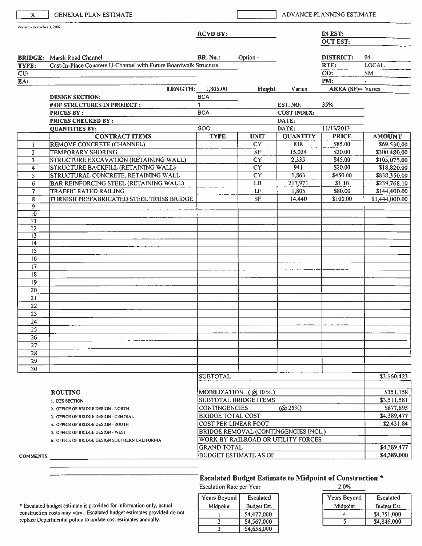| Revised - December 3, 2007<br>IN EST:<br><b>RCVD BY:</b><br><b>OUT EST:</b><br><b>BR. No.:</b><br>Option -<br><b>DISTRICT:</b><br><b>BRIDGE:</b> Marsh Road Channel<br>Cast-In-Place Concrete U-Channel with Future Boardwalk Structure<br>RTE:<br>TYPE:<br>CO:<br>CU:<br>PM:<br>EA:<br>LENGTH:<br>1,805.00<br>Height<br>Varies<br><b>BCA</b><br><b>DESIGN SECTION:</b><br>35%<br># OF STRUCTURES IN PROJECT :<br>1<br>EST. NO.<br><b>BCA</b><br><b>COST INDEX:</b><br><b>PRICES BY:</b><br><b>PRICES CHECKED BY:</b><br>DATE:<br>SOO<br>11/13/2013<br>DATE:<br><b>QUANTITIES BY:</b><br><b>QUANTITY</b><br><b>CONTRACT ITEMS</b><br><b>TYPE</b><br><b>PRICE</b><br><b>UNIT</b><br>REMOVE CONCRETE (CHANNEL)<br><b>CY</b><br>818<br>\$85.00<br>Ŧ<br>$\overline{\mathsf{S}}$ F<br><b>TEMPORARY SHORING</b><br>15,024<br>\$20.00<br>$\overline{2}$<br>STRUCTURE EXCAVATION (RETAINING WALL)<br>CY<br>2,335<br>\$45.00<br>3 | 04<br><b>LOCAL</b><br><b>SM</b><br>$\overline{a}$<br><b>AREA</b> (SF)= Varies |
|--------------------------------------------------------------------------------------------------------------------------------------------------------------------------------------------------------------------------------------------------------------------------------------------------------------------------------------------------------------------------------------------------------------------------------------------------------------------------------------------------------------------------------------------------------------------------------------------------------------------------------------------------------------------------------------------------------------------------------------------------------------------------------------------------------------------------------------------------------------------------------------------------------------------------|-------------------------------------------------------------------------------|
|                                                                                                                                                                                                                                                                                                                                                                                                                                                                                                                                                                                                                                                                                                                                                                                                                                                                                                                          |                                                                               |
|                                                                                                                                                                                                                                                                                                                                                                                                                                                                                                                                                                                                                                                                                                                                                                                                                                                                                                                          |                                                                               |
|                                                                                                                                                                                                                                                                                                                                                                                                                                                                                                                                                                                                                                                                                                                                                                                                                                                                                                                          |                                                                               |
|                                                                                                                                                                                                                                                                                                                                                                                                                                                                                                                                                                                                                                                                                                                                                                                                                                                                                                                          |                                                                               |
|                                                                                                                                                                                                                                                                                                                                                                                                                                                                                                                                                                                                                                                                                                                                                                                                                                                                                                                          |                                                                               |
|                                                                                                                                                                                                                                                                                                                                                                                                                                                                                                                                                                                                                                                                                                                                                                                                                                                                                                                          |                                                                               |
|                                                                                                                                                                                                                                                                                                                                                                                                                                                                                                                                                                                                                                                                                                                                                                                                                                                                                                                          |                                                                               |
|                                                                                                                                                                                                                                                                                                                                                                                                                                                                                                                                                                                                                                                                                                                                                                                                                                                                                                                          |                                                                               |
|                                                                                                                                                                                                                                                                                                                                                                                                                                                                                                                                                                                                                                                                                                                                                                                                                                                                                                                          |                                                                               |
|                                                                                                                                                                                                                                                                                                                                                                                                                                                                                                                                                                                                                                                                                                                                                                                                                                                                                                                          |                                                                               |
|                                                                                                                                                                                                                                                                                                                                                                                                                                                                                                                                                                                                                                                                                                                                                                                                                                                                                                                          |                                                                               |
|                                                                                                                                                                                                                                                                                                                                                                                                                                                                                                                                                                                                                                                                                                                                                                                                                                                                                                                          |                                                                               |
|                                                                                                                                                                                                                                                                                                                                                                                                                                                                                                                                                                                                                                                                                                                                                                                                                                                                                                                          | <b>AMOUNT</b>                                                                 |
|                                                                                                                                                                                                                                                                                                                                                                                                                                                                                                                                                                                                                                                                                                                                                                                                                                                                                                                          | \$69,530.00                                                                   |
|                                                                                                                                                                                                                                                                                                                                                                                                                                                                                                                                                                                                                                                                                                                                                                                                                                                                                                                          | \$300,480.00                                                                  |
|                                                                                                                                                                                                                                                                                                                                                                                                                                                                                                                                                                                                                                                                                                                                                                                                                                                                                                                          | \$105,075.00                                                                  |
| $\overline{CY}$<br>STRUCTURE BACKFILL (RETAINING WALL)<br>941<br>\$20.00<br>$\overline{4}$                                                                                                                                                                                                                                                                                                                                                                                                                                                                                                                                                                                                                                                                                                                                                                                                                               | \$18,820.00                                                                   |
| <b>CY</b><br>STRUCTURAL CONCRETE, RETAINING WALL<br>1,863<br>\$450.00<br>5.                                                                                                                                                                                                                                                                                                                                                                                                                                                                                                                                                                                                                                                                                                                                                                                                                                              | \$838,350.00                                                                  |
| $\mathbf{L}\mathbf{B}$<br>\$1.10<br>BAR REINFORCING STEEL (RETAINING WALL)<br>217,971<br>6                                                                                                                                                                                                                                                                                                                                                                                                                                                                                                                                                                                                                                                                                                                                                                                                                               | \$239,768.10                                                                  |
| LF<br>1,805<br>\$80.00<br>7<br><b>TRAFFIC RATED RAILING</b>                                                                                                                                                                                                                                                                                                                                                                                                                                                                                                                                                                                                                                                                                                                                                                                                                                                              | \$144,400.00                                                                  |
| <b>SF</b><br>8<br>FURNISH PREFABRICATED STEEL TRUSS BRIDGE<br>14,440<br>\$100.00                                                                                                                                                                                                                                                                                                                                                                                                                                                                                                                                                                                                                                                                                                                                                                                                                                         | \$1,444,000.00                                                                |
| 9<br>10                                                                                                                                                                                                                                                                                                                                                                                                                                                                                                                                                                                                                                                                                                                                                                                                                                                                                                                  |                                                                               |
| $_{11}$                                                                                                                                                                                                                                                                                                                                                                                                                                                                                                                                                                                                                                                                                                                                                                                                                                                                                                                  |                                                                               |
| 12                                                                                                                                                                                                                                                                                                                                                                                                                                                                                                                                                                                                                                                                                                                                                                                                                                                                                                                       |                                                                               |
| $\overline{13}$                                                                                                                                                                                                                                                                                                                                                                                                                                                                                                                                                                                                                                                                                                                                                                                                                                                                                                          |                                                                               |
| $\overline{14}$                                                                                                                                                                                                                                                                                                                                                                                                                                                                                                                                                                                                                                                                                                                                                                                                                                                                                                          |                                                                               |
| 15                                                                                                                                                                                                                                                                                                                                                                                                                                                                                                                                                                                                                                                                                                                                                                                                                                                                                                                       |                                                                               |
| 16                                                                                                                                                                                                                                                                                                                                                                                                                                                                                                                                                                                                                                                                                                                                                                                                                                                                                                                       |                                                                               |
| 17                                                                                                                                                                                                                                                                                                                                                                                                                                                                                                                                                                                                                                                                                                                                                                                                                                                                                                                       |                                                                               |
| 18                                                                                                                                                                                                                                                                                                                                                                                                                                                                                                                                                                                                                                                                                                                                                                                                                                                                                                                       |                                                                               |
| 19                                                                                                                                                                                                                                                                                                                                                                                                                                                                                                                                                                                                                                                                                                                                                                                                                                                                                                                       |                                                                               |
| 20                                                                                                                                                                                                                                                                                                                                                                                                                                                                                                                                                                                                                                                                                                                                                                                                                                                                                                                       |                                                                               |
| 21                                                                                                                                                                                                                                                                                                                                                                                                                                                                                                                                                                                                                                                                                                                                                                                                                                                                                                                       |                                                                               |
| 22                                                                                                                                                                                                                                                                                                                                                                                                                                                                                                                                                                                                                                                                                                                                                                                                                                                                                                                       |                                                                               |
| 23                                                                                                                                                                                                                                                                                                                                                                                                                                                                                                                                                                                                                                                                                                                                                                                                                                                                                                                       |                                                                               |
| 24                                                                                                                                                                                                                                                                                                                                                                                                                                                                                                                                                                                                                                                                                                                                                                                                                                                                                                                       |                                                                               |
| 25                                                                                                                                                                                                                                                                                                                                                                                                                                                                                                                                                                                                                                                                                                                                                                                                                                                                                                                       |                                                                               |
| 26<br>27                                                                                                                                                                                                                                                                                                                                                                                                                                                                                                                                                                                                                                                                                                                                                                                                                                                                                                                 |                                                                               |
| 28                                                                                                                                                                                                                                                                                                                                                                                                                                                                                                                                                                                                                                                                                                                                                                                                                                                                                                                       |                                                                               |
| 29                                                                                                                                                                                                                                                                                                                                                                                                                                                                                                                                                                                                                                                                                                                                                                                                                                                                                                                       |                                                                               |
| 30                                                                                                                                                                                                                                                                                                                                                                                                                                                                                                                                                                                                                                                                                                                                                                                                                                                                                                                       |                                                                               |
| <b>SUBTOTAL</b>                                                                                                                                                                                                                                                                                                                                                                                                                                                                                                                                                                                                                                                                                                                                                                                                                                                                                                          | \$3,160,423                                                                   |
|                                                                                                                                                                                                                                                                                                                                                                                                                                                                                                                                                                                                                                                                                                                                                                                                                                                                                                                          |                                                                               |
| MOBILIZATION (@10%)<br><b>ROUTING</b>                                                                                                                                                                                                                                                                                                                                                                                                                                                                                                                                                                                                                                                                                                                                                                                                                                                                                    | \$351,158                                                                     |
| SUBTOTAL BRIDGE ITEMS<br><b>I. DES SECTION</b>                                                                                                                                                                                                                                                                                                                                                                                                                                                                                                                                                                                                                                                                                                                                                                                                                                                                           | \$3,511,581                                                                   |
| <b>CONTINGENCIES</b><br>(Q25%)<br>2. OFFICE OF BRIDGE DESIGN - NORTH                                                                                                                                                                                                                                                                                                                                                                                                                                                                                                                                                                                                                                                                                                                                                                                                                                                     | \$877,895                                                                     |
| <b>BRIDGE TOTAL COST</b><br>3. OFFICE OF BRIDGE DESIGN - CENTRAL                                                                                                                                                                                                                                                                                                                                                                                                                                                                                                                                                                                                                                                                                                                                                                                                                                                         | \$4,389,477                                                                   |
| COST PER LINEAR FOOT<br>4. OFFICE OF BRIDGE DESIGN - SOUTH                                                                                                                                                                                                                                                                                                                                                                                                                                                                                                                                                                                                                                                                                                                                                                                                                                                               | \$2,431.84                                                                    |
| BRIDGE REMOVAL (CONTINGENCIES INCL.)<br>5. OFFICE OF BRIDGE DESIGN - WEST                                                                                                                                                                                                                                                                                                                                                                                                                                                                                                                                                                                                                                                                                                                                                                                                                                                |                                                                               |
| WORK BY RAILROAD OR UTILITY FORCES<br>6. OFFICE OF BRIDGE DESIGN SOUTHERN CALIFORNIA                                                                                                                                                                                                                                                                                                                                                                                                                                                                                                                                                                                                                                                                                                                                                                                                                                     |                                                                               |
| <b>GRAND TOTAL</b>                                                                                                                                                                                                                                                                                                                                                                                                                                                                                                                                                                                                                                                                                                                                                                                                                                                                                                       | \$4,389,477                                                                   |
| <b>BUDGET ESTIMATE AS OF</b><br><b>COMMENTS:</b>                                                                                                                                                                                                                                                                                                                                                                                                                                                                                                                                                                                                                                                                                                                                                                                                                                                                         | \$4,389,000                                                                   |

Escalation Rate per Year

| Years Beyond | Escalated   |
|--------------|-------------|
| Midpoint     | Budget Est. |
|              | \$4,477,000 |
|              | \$4,567,000 |
|              | \$4,658,000 |

| 2.VL/0       |             |
|--------------|-------------|
| Years Beyond | Escalated   |
| Midpoint     | Budget Est. |
|              | \$4,751,000 |
|              | \$4,846,000 |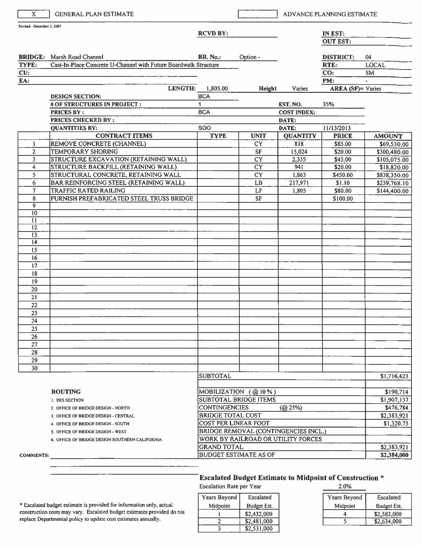| $\mathbf{x}$               | <b>GENERAL PLAN ESTIMATE</b>                                     |                                                     |                                      |                                | ADVANCE PLANNING ESTIMATE |                |
|----------------------------|------------------------------------------------------------------|-----------------------------------------------------|--------------------------------------|--------------------------------|---------------------------|----------------|
| Revised - December 3, 2007 |                                                                  | <b>RCVD BY:</b>                                     |                                      |                                | IN EST:                   |                |
|                            |                                                                  |                                                     |                                      |                                | <b>OUT EST:</b>           |                |
|                            | <b>BRIDGE:</b> Marsh Road Channel                                | <b>BR.</b> No.:                                     | Option -                             |                                | <b>DISTRICT:</b>          | 04             |
| TYPE:                      | Cast-In-Place Concrete U-Channel with Future Boardwalk Structure |                                                     |                                      |                                | RTE:                      | <b>LOCAL</b>   |
| CU:                        |                                                                  |                                                     |                                      |                                | CO:                       | SM             |
| EA:                        |                                                                  |                                                     |                                      |                                | PM:                       | $\blacksquare$ |
|                            | LENGTH:                                                          | 1,805.00                                            | Height                               | Varies                         | AREA (SF)= Varies         |                |
|                            | <b>DESIGN SECTION:</b>                                           | <b>BCA</b>                                          |                                      |                                |                           |                |
|                            | # OF STRUCTURES IN PROJECT :<br><b>PRICES BY:</b>                | 1<br><b>BCA</b>                                     |                                      | EST. NO.<br><b>COST INDEX:</b> | 35%                       |                |
|                            | <b>PRICES CHECKED BY:</b>                                        |                                                     |                                      | DATE:                          |                           |                |
|                            | <b>QUANTITIES BY:</b>                                            | SOO                                                 |                                      | DATE:                          | 11/13/2013                |                |
|                            | <b>CONTRACT ITEMS</b>                                            | <b>TYPE</b>                                         | <b>UNIT</b>                          | <b>QUANTITY</b>                | <b>PRICE</b>              | <b>AMOUNT</b>  |
| 1                          | REMOVE CONCRETE (CHANNEL)                                        |                                                     | <b>CY</b>                            | 818                            | \$85.00                   | \$69,530.00    |
| $\overline{2}$             | TEMPORARY SHORING                                                |                                                     | SF                                   | 15,024                         | \$20.00                   | \$300,480.00   |
| 3                          | <b>STRUCTURE EXCAVATION (RETAINING WALL)</b>                     |                                                     | $\overline{CY}$                      | 2,335                          | \$45.00                   | \$105,075.00   |
| 4                          | STRUCTURE BACKFILL (RETAINING WALL)                              |                                                     | $\overline{\text{CY}}$               | 941                            | \$20.00                   | \$18,820.00    |
| 5                          | STRUCTURAL CONCRETE, RETAINING WALL                              |                                                     | <b>CY</b>                            | 1,863                          | \$450.00                  | \$838,350.00   |
| 6                          | BAR REINFORCING STEEL (RETAINING WALL)                           |                                                     | LB.                                  | 217,971                        | \$1.10                    | \$239,768.10   |
| $\tau$                     | <b>TRAFFIC RATED RAILING</b>                                     |                                                     | LF                                   | 1,805                          | \$80.00                   | \$144,400.00   |
| 8                          | FURNISH PREFABRICATED STEEL TRUSS BRIDGE                         |                                                     | <b>SF</b>                            |                                | \$100.00                  |                |
| $\overline{9}$             |                                                                  |                                                     |                                      |                                |                           |                |
| $\overline{10}$            |                                                                  |                                                     |                                      |                                |                           |                |
| 11<br>12                   |                                                                  |                                                     |                                      |                                |                           |                |
| $\overline{13}$            |                                                                  |                                                     |                                      |                                |                           |                |
| $\overline{14}$            |                                                                  |                                                     |                                      |                                |                           |                |
| $\overline{15}$            |                                                                  |                                                     |                                      |                                |                           |                |
| 16                         |                                                                  |                                                     |                                      |                                |                           |                |
| 17                         |                                                                  |                                                     |                                      |                                |                           |                |
| 18                         |                                                                  |                                                     |                                      |                                |                           |                |
| 19                         |                                                                  |                                                     |                                      |                                |                           |                |
| 20                         |                                                                  |                                                     |                                      |                                |                           |                |
| 21                         |                                                                  |                                                     |                                      |                                |                           |                |
| 22                         |                                                                  |                                                     |                                      |                                |                           |                |
| 23                         |                                                                  |                                                     |                                      |                                |                           |                |
| 24                         |                                                                  |                                                     |                                      |                                |                           |                |
| 25                         |                                                                  |                                                     |                                      |                                |                           |                |
| 26                         |                                                                  |                                                     |                                      |                                |                           |                |
| 27                         |                                                                  |                                                     |                                      |                                |                           |                |
| 28                         |                                                                  |                                                     |                                      |                                |                           |                |
| 29<br>30                   |                                                                  |                                                     |                                      |                                |                           |                |
|                            |                                                                  | <b>SUBTOTAL</b>                                     |                                      |                                |                           | \$1,716,423    |
|                            |                                                                  |                                                     |                                      |                                |                           |                |
|                            | <b>ROUTING</b>                                                   |                                                     |                                      |                                |                           | \$190,714      |
|                            | 1. DES SECTION                                                   | MOBILIZATION (@10%)<br><b>SUBTOTAL BRIDGE ITEMS</b> |                                      |                                |                           | \$1,907,137    |
|                            | 2. OFFICE OF BRIDGE DESIGN - NORTH                               | <b>CONTINGENCIES</b>                                |                                      | (Q25%)                         |                           | \$476,784      |
|                            | 3. OFFICE OF BRIDGE DESIGN - CENTRAL                             | <b>BRIDGE TOTAL COST</b>                            |                                      |                                |                           | \$2,383,921    |
|                            | 4. OFFICE OF BRIDGE DESIGN - SOUTH                               | <b>COST PER LINEAR FOOT</b>                         |                                      |                                |                           | \$1,320.73     |
|                            | 5. OFFICE OF BRIDGE DESIGN - WEST                                |                                                     | BRIDGE REMOVAL (CONTINGENCIES INCL.) |                                |                           |                |
|                            | 6. OFFICE OF BRIDGE DESIGN SOUTHERN CALIFORNIA                   |                                                     | WORK BY RAILROAD OR UTILITY FORCES   |                                |                           |                |
|                            |                                                                  | <b>GRAND TOTAL</b>                                  |                                      |                                |                           | \$2,383,921    |
| <b>COMMENTS:</b>           |                                                                  |                                                     | <b>BUDGET ESTIMATE AS OF</b>         |                                |                           | \$2,384,000    |

#### **Escalated Budget Estimate to Midpoint of Construction \***  $\sim$  00/

Escalation Rate per Year

| Years Beyond | Escalated   |
|--------------|-------------|
| Midpoint     | Budget Est. |
|              | \$2,432,000 |
|              | \$2,481,000 |
|              | \$2,531,000 |

| 2.U%         |             |
|--------------|-------------|
| Years Beyond | Escalated   |
| Midpoint     | Budget Est. |
|              | \$2,582,000 |
|              | \$2,634,000 |